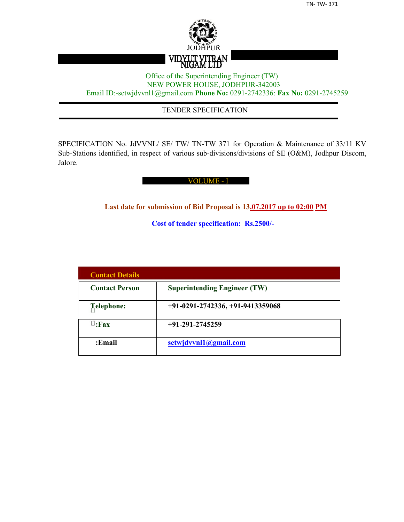

## Office of the Superintending Engineer (TW) NEW POWER HOUSE, JODHPUR-342003 Email ID:-setwjdvvnl1@gmail.com **Phone No:** 0291-2742336: **Fax No:** 0291-2745259

## TENDER SPECIFICATION

SPECIFICATION No. JdVVNL/ SE/ TW/ TN-TW 371 for Operation & Maintenance of 33/11 KV Sub-Stations identified, in respect of various sub-divisions/divisions of SE (O&M), Jodhpur Discom, Jalore.

#### VOLUME - I

**Last date for submission of Bid Proposal is 13.07.2017 up to 02:00 PM**

**Cost of tender specification: Rs.2500/-**

| <b>Contact Details</b> |                                     |
|------------------------|-------------------------------------|
| <b>Contact Person</b>  | <b>Superintending Engineer (TW)</b> |
| Telephone:             | $+91-0291-2742336, +91-9413359068$  |
| $\sqcup$ :Fax          | $+91-291-2745259$                   |
| :Email                 | setwjdvvnl1@gmail.com               |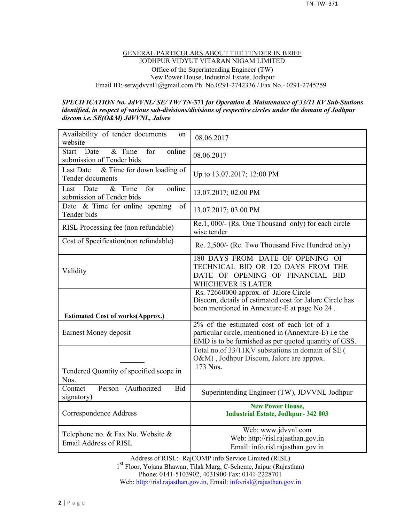#### GENERAL PARTICULARS ABOUT THE TENDER IN BRIEF JODHPUR VIDYUT VITARAN NIGAM LIMITED Office of the Superintending Engineer (TW) New Power House, Industrial Estate, Jodhpur Email ID:-setwjdvvnl1@gmail.com Ph. No.0291-2742336 / Fax No.- 0291-2745259

#### *SPECIFICATION No. JdVVNL/ SE/ TW/ TN-***371** *for Operation & Maintenance of 33/11 KV Sub-Stations identified, in respect of various sub-divisions/divisions of respective circles under the domain of Jodhpur discom i.e. SE(O&M) JdVVNL, Jalore*

| Availability of tender documents<br>on<br>website                            | 08.06.2017                                                                                                                                       |
|------------------------------------------------------------------------------|--------------------------------------------------------------------------------------------------------------------------------------------------|
| & Time<br>online<br><b>Start</b><br>Date<br>for<br>submission of Tender bids | 08.06.2017                                                                                                                                       |
| & Time for down loading of<br>Last Date<br>Tender documents                  | Up to 13.07.2017; 12:00 PM                                                                                                                       |
| $&$ Time<br>online<br>for<br>Last<br>Date<br>submission of Tender bids       | 13.07.2017; 02.00 PM                                                                                                                             |
| Date & Time for online opening<br>of<br>Tender bids                          | 13.07.2017; 03.00 PM                                                                                                                             |
| RISL Processing fee (non refundable)                                         | Re.1, 000/- (Rs. One Thousand only) for each circle<br>wise tender                                                                               |
| Cost of Specification(non refundable)                                        | Re. 2,500/- (Re. Two Thousand Five Hundred only)                                                                                                 |
| Validity                                                                     | 180 DAYS FROM DATE OF OPENING OF<br>TECHNICAL BID OR 120 DAYS FROM THE<br>DATE OF OPENING OF FINANCIAL BID<br>WHICHEVER IS LATER                 |
| <b>Estimated Cost of works(Approx.)</b>                                      | Rs. 72660000 approx. of Jalore Circle<br>Discom, details of estimated cost for Jalore Circle has<br>been mentioned in Annexture-E at page No 24. |
| Earnest Money deposit                                                        | $2\%$ of the estimated cost of each lot of a<br>particular circle, mentioned in (Annexture-E) i.e the                                            |
|                                                                              | EMD is to be furnished as per quoted quantity of GSS.                                                                                            |
| Tendered Quantity of specified scope in<br>Nos.                              | Total no.of 33/11KV substations in domain of SE (<br>O&M), Jodhpur Discom, Jalore are approx.<br>173 Nos.                                        |
| Contact<br>Person (Authorized<br><b>Bid</b><br>signatory)                    | Superintending Engineer (TW), JDVVNL Jodhpur                                                                                                     |
| Correspondence Address                                                       | <b>New Power House,</b><br><b>Industrial Estate, Jodhpur-342 003</b>                                                                             |

Address of RISL:- RajCOMP info Service Limited (RISL) 1 st Floor, Yojana Bhawan, Tilak Marg, C-Scheme, Jaipur (Rajasthan) Phone: 0141-5103902, 4031900 Fax: 0141-2228701 Web: http://risl.rajasthan.gov.in, Email: info.risl@rajasthan.gov.in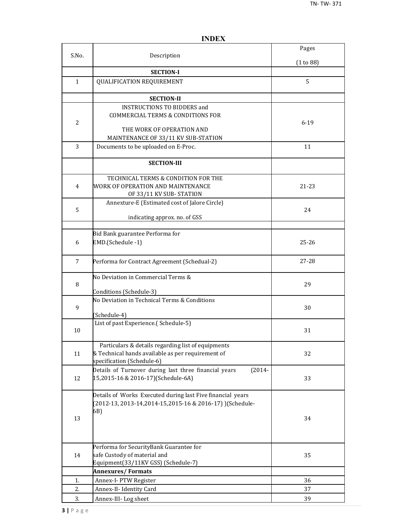|                |                                                                                                                                       | Pages     |
|----------------|---------------------------------------------------------------------------------------------------------------------------------------|-----------|
| S.No.          | Description                                                                                                                           | (1 to 88) |
|                | <b>SECTION-I</b>                                                                                                                      |           |
| $\mathbf{1}$   | <b>QUALIFICATION REQUIREMENT</b>                                                                                                      | 5         |
|                | <b>SECTION-II</b>                                                                                                                     |           |
| $\overline{2}$ | <b>INSTRUCTIONS TO BIDDERS and</b><br><b>COMMERCIAL TERMS &amp; CONDITIONS FOR</b><br>THE WORK OF OPERATION AND                       | $6 - 19$  |
|                | MAINTENANCE OF 33/11 KV SUB-STATION                                                                                                   |           |
| 3              | Documents to be uploaded on E-Proc.                                                                                                   | 11        |
|                | <b>SECTION-III</b>                                                                                                                    |           |
| 4              | TECHNICAL TERMS & CONDITION FOR THE<br>WORK OF OPERATION AND MAINTENANCE<br>OF 33/11 KV SUB-STATION                                   | 21-23     |
| 5              | Annexture-E (Estimated cost of Jalore Circle)<br>indicating approx. no. of GSS                                                        | 24        |
|                |                                                                                                                                       |           |
| 6              | Bid Bank guarantee Performa for<br>EMD.(Schedule -1)                                                                                  | $25 - 26$ |
| 7              | Performa for Contract Agreement (Schedual-2)                                                                                          | 27-28     |
| 8              | No Deviation in Commercial Terms &<br>Conditions (Schedule-3)                                                                         | 29        |
| 9              | No Deviation in Technical Terms & Conditions<br>(Schedule-4)                                                                          | 30        |
| 10             | List of past Experience.(Schedule-5)                                                                                                  | 31        |
| 11             | Particulars & details regarding list of equipments<br>& Technical hands available as per requirement of<br>specification (Schedule-6) | 32        |
| 12             | Details of Turnover during last three financial years<br>$(2014 -$<br>15,2015-16 & 2016-17)(Schedule-6A)                              | 33        |
| 13             | Details of Works Executed during last Five financial years<br>(2012-13, 2013-14, 2014-15, 2015-16 & 2016-17) ) (Schedule-<br>6B)      | 34        |
| 14             | Performa for SecurityBank Guarantee for<br>safe Custody of material and<br>Equipment(33/11KV GSS) (Schedule-7)                        | 35        |
|                | <b>Annexures/Formats</b>                                                                                                              |           |
| 1.             | Annex-I- PTW Register                                                                                                                 | 36        |
| 2.             | Annex-II- Identity Card                                                                                                               | 37        |
| 3.             | Annex-III-Log sheet                                                                                                                   | 39        |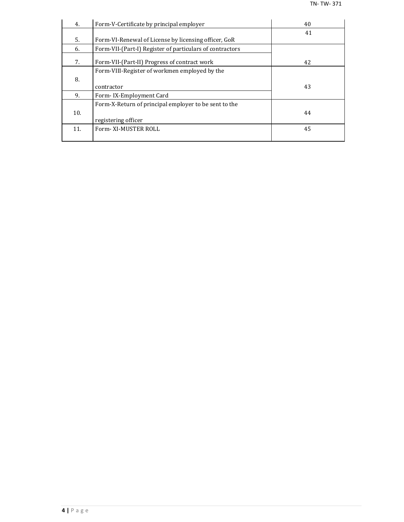| 4.  | Form-V-Certificate by principal employer                 | 40 |
|-----|----------------------------------------------------------|----|
|     |                                                          | 41 |
| 5.  | Form-VI-Renewal of License by licensing officer, GoR     |    |
| 6.  | Form-VII-(Part-I) Register of particulars of contractors |    |
| 7.  | Form-VII-(Part-II) Progress of contract work             | 42 |
|     | Form-VIII-Register of workmen employed by the            |    |
| 8.  |                                                          |    |
|     | contractor                                               | 43 |
| 9.  | Form-IX-Employment Card                                  |    |
|     | Form-X-Return of principal employer to be sent to the    |    |
| 10. |                                                          | 44 |
|     | registering officer                                      |    |
| 11. | Form-XI-MUSTER ROLL                                      | 45 |
|     |                                                          |    |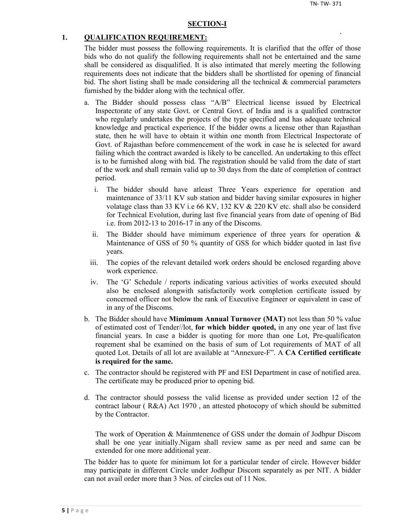#### **SECTION-I**

#### **1. QUALIFICATION REQUIREMENT:**

The bidder must possess the following requirements. It is clarified that the offer of those bids who do not qualify the following requirements shall not be entertained and the same shall be considered as disqualified. It is also intimated that merely meeting the following requirements does not indicate that the bidders shall be shortlisted for opening of financial bid. The short listing shall be made considering all the technical  $\&$  commercial parameters furnished by the bidder along with the technical offer.

- a. The Bidder should possess class "A/B" Electrical license issued by Electrical Inspectorate of any state Govt. or Central Govt. of India and is a qualified contractor who regularly undertakes the projects of the type specified and has adequate technical knowledge and practical experience. If the bidder owns a license other than Rajasthan state, then he will have to obtain it within one month from Electrical Inspectorate of Govt. of Rajasthan before commencement of the work in case he is selected for award failing which the contract awarded is likely to be cancelled. An undertaking to this effect is to be furnished along with bid. The registration should be valid from the date of start of the work and shall remain valid up to 30 days from the date of completion of contract period.
	- i. The bidder should have atleast Three Years experience for operation and maintenance of 33/11 KV sub station and bidder having similar exposures in higher volatage class than 33 KV i.e 66 KV, 132 KV & 220 KV etc. shall also be considerd for Technical Evolution, during last five financial years from date of opening of Bid i.e. from 2012-13 to 2016-17 in any of the Discoms.
	- ii. The Bidder should have mimimum experience of three years for operation  $\&$ Maintenance of GSS of 50 % quantity of GSS for which bidder quoted in last five years.
	- iii. The copies of the relevant detailed work orders should be enclosed regarding above work experience.
	- iv. The 'G' Schedule / reports indicating various activities of works executed should also be enclosed alongwith satisfactorily work completion certificate issued by concerned officer not below the rank of Executive Engineer or equivalent in case of in any of the Discoms.
- b. The Bidder should have **Mimimum Annual Turnover (MAT)** not less than 50 % value of estimated cost of Tender//lot, **for which bidder quoted,** in any one year of last five financial years. In case a bidder is quoting for more than one Lot, Pre-qualificaton reqrement shal be examined on the basis of sum of Lot requirements of MAT of all quoted Lot. Details of all lot are available at "Annexure-F". A **CA Certified certificate is required for the same.**
- c. The contractor should be registered with PF and ESI Department in case of notified area. The certificate may be produced prior to opening bid.
- d. The contractor should possess the valid license as provided under section 12 of the contract labour ( R&A) Act 1970 , an attested photocopy of which should be submitted by the Contractor.

The work of Operation & Mainmtenence of GSS under the domain of Jodhpur Discom shall be one year initially.Nigam shall review same as per need and same can be extended for one more additional year.

The bidder has to quote for minimum lot for a particular tender of circle. However bidder may participate in different Circle under Jodhpur Discom separately as per NIT. A bidder can not avail order more than 3 Nos. of circles out of 11 Nos.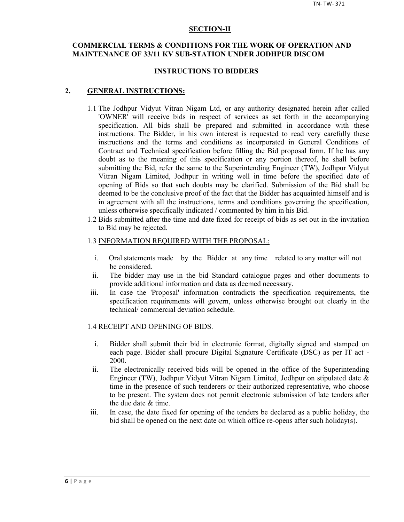#### **SECTION-II**

## **COMMERCIAL TERMS & CONDITIONS FOR THE WORK OF OPERATION AND MAINTENANCE OF 33/11 KV SUB-STATION UNDER JODHPUR DISCOM**

#### **INSTRUCTIONS TO BIDDERS**

#### **2. GENERAL INSTRUCTIONS:**

- 1.1 The Jodhpur Vidyut Vitran Nigam Ltd, or any authority designated herein after called 'OWNER' will receive bids in respect of services as set forth in the accompanying specification. All bids shall be prepared and submitted in accordance with these instructions. The Bidder, in his own interest is requested to read very carefully these instructions and the terms and conditions as incorporated in General Conditions of Contract and Technical specification before filling the Bid proposal form. If he has any doubt as to the meaning of this specification or any portion thereof, he shall before submitting the Bid, refer the same to the Superintending Engineer (TW), Jodhpur Vidyut Vitran Nigam Limited, Jodhpur in writing well in time before the specified date of opening of Bids so that such doubts may be clarified. Submission of the Bid shall be deemed to be the conclusive proof of the fact that the Bidder has acquainted himself and is in agreement with all the instructions, terms and conditions governing the specification, unless otherwise specifically indicated / commented by him in his Bid.
- 1.2 Bids submitted after the time and date fixed for receipt of bids as set out in the invitation to Bid may be rejected.

#### 1.3 INFORMATION REQUIRED WITH THE PROPOSAL:

- i. Oral statements made by the Bidder at any time related to any matter will not be considered.
- ii. The bidder may use in the bid Standard catalogue pages and other documents to provide additional information and data as deemed necessary.
- iii. In case the 'Proposal' information contradicts the specification requirements, the specification requirements will govern, unless otherwise brought out clearly in the technical/ commercial deviation schedule.

#### 1.4 RECEIPT AND OPENING OF BIDS.

- i. Bidder shall submit their bid in electronic format, digitally signed and stamped on each page. Bidder shall procure Digital Signature Certificate (DSC) as per IT act - 2000.
- ii. The electronically received bids will be opened in the office of the Superintending Engineer (TW), Jodhpur Vidyut Vitran Nigam Limited, Jodhpur on stipulated date & time in the presence of such tenderers or their authorized representative, who choose to be present. The system does not permit electronic submission of late tenders after the due date & time.
- iii. In case, the date fixed for opening of the tenders be declared as a public holiday, the bid shall be opened on the next date on which office re-opens after such holiday(s).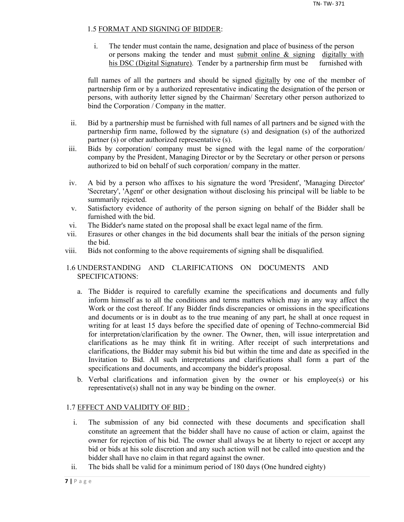## 1.5 FORMAT AND SIGNING OF BIDDER:

i. The tender must contain the name, designation and place of business of the person or persons making the tender and must submit online  $\&$  signing digitally with his DSC (Digital Signature). Tender by a partnership firm must be furnished with

full names of all the partners and should be signed digitally by one of the member of partnership firm or by a authorized representative indicating the designation of the person or persons, with authority letter signed by the Chairman/ Secretary other person authorized to bind the Corporation / Company in the matter.

- ii. Bid by a partnership must be furnished with full names of all partners and be signed with the partnership firm name, followed by the signature (s) and designation (s) of the authorized partner (s) or other authorized representative (s).
- iii. Bids by corporation/ company must be signed with the legal name of the corporation/ company by the President, Managing Director or by the Secretary or other person or persons authorized to bid on behalf of such corporation/ company in the matter.
- iv. A bid by a person who affixes to his signature the word 'President', 'Managing Director' 'Secretary', 'Agent' or other designation without disclosing his principal will be liable to be summarily rejected.
- v. Satisfactory evidence of authority of the person signing on behalf of the Bidder shall be furnished with the bid.
- vi. The Bidder's name stated on the proposal shall be exact legal name of the firm.
- vii. Erasures or other changes in the bid documents shall bear the initials of the person signing the bid.
- viii. Bids not conforming to the above requirements of signing shall be disqualified.

## 1.6 UNDERSTANDING AND CLARIFICATIONS ON DOCUMENTS AND SPECIFICATIONS:

- a. The Bidder is required to carefully examine the specifications and documents and fully inform himself as to all the conditions and terms matters which may in any way affect the Work or the cost thereof. If any Bidder finds discrepancies or omissions in the specifications and documents or is in doubt as to the true meaning of any part, he shall at once request in writing for at least 15 days before the specified date of opening of Techno-commercial Bid for interpretation/clarification by the owner. The Owner, then, will issue interpretation and clarifications as he may think fit in writing. After receipt of such interpretations and clarifications, the Bidder may submit his bid but within the time and date as specified in the Invitation to Bid. All such interpretations and clarifications shall form a part of the specifications and documents, and accompany the bidder's proposal.
- b. Verbal clarifications and information given by the owner or his employee(s) or his representative(s) shall not in any way be binding on the owner.

## 1.7 EFFECT AND VALIDITY OF BID :

- i. The submission of any bid connected with these documents and specification shall constitute an agreement that the bidder shall have no cause of action or claim, against the owner for rejection of his bid. The owner shall always be at liberty to reject or accept any bid or bids at his sole discretion and any such action will not be called into question and the bidder shall have no claim in that regard against the owner.
- ii. The bids shall be valid for a minimum period of 180 days (One hundred eighty)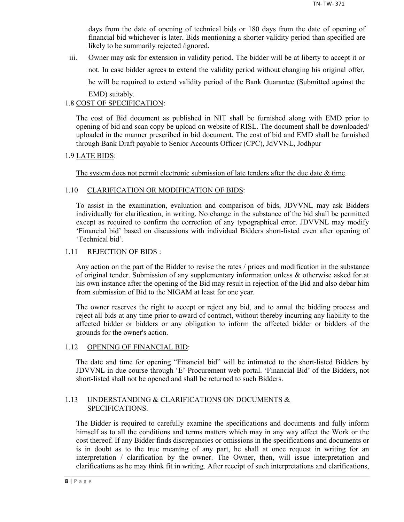days from the date of opening of technical bids or 180 days from the date of opening of financial bid whichever is later. Bids mentioning a shorter validity period than specified are likely to be summarily rejected /ignored.

iii. Owner may ask for extension in validity period. The bidder will be at liberty to accept it or not. In case bidder agrees to extend the validity period without changing his original offer, he will be required to extend validity period of the Bank Guarantee (Submitted against the EMD) suitably.

## 1.8 COST OF SPECIFICATION:

The cost of Bid document as published in NIT shall be furnished along with EMD prior to opening of bid and scan copy be upload on website of RISL. The document shall be downloaded/ uploaded in the manner prescribed in bid document. The cost of bid and EMD shall be furnished through Bank Draft payable to Senior Accounts Officer (CPC), JdVVNL, Jodhpur

## 1.9 LATE BIDS:

The system does not permit electronic submission of late tenders after the due date  $\&$  time.

## 1.10 CLARIFICATION OR MODIFICATION OF BIDS:

To assist in the examination, evaluation and comparison of bids, JDVVNL may ask Bidders individually for clarification, in writing. No change in the substance of the bid shall be permitted except as required to confirm the correction of any typographical error. JDVVNL may modify 'Financial bid' based on discussions with individual Bidders short-listed even after opening of 'Technical bid'.

## 1.11 REJECTION OF BIDS :

Any action on the part of the Bidder to revise the rates / prices and modification in the substance of original tender. Submission of any supplementary information unless & otherwise asked for at his own instance after the opening of the Bid may result in rejection of the Bid and also debar him from submission of Bid to the NIGAM at least for one year.

The owner reserves the right to accept or reject any bid, and to annul the bidding process and reject all bids at any time prior to award of contract, without thereby incurring any liability to the affected bidder or bidders or any obligation to inform the affected bidder or bidders of the grounds for the owner's action.

## 1.12 OPENING OF FINANCIAL BID:

The date and time for opening "Financial bid" will be intimated to the short-listed Bidders by JDVVNL in due course through 'E'-Procurement web portal. 'Financial Bid' of the Bidders, not short-listed shall not be opened and shall be returned to such Bidders.

## 1.13 UNDERSTANDING & CLARIFICATIONS ON DOCUMENTS & SPECIFICATIONS.

The Bidder is required to carefully examine the specifications and documents and fully inform himself as to all the conditions and terms matters which may in any way affect the Work or the cost thereof. If any Bidder finds discrepancies or omissions in the specifications and documents or is in doubt as to the true meaning of any part, he shall at once request in writing for an interpretation / clarification by the owner. The Owner, then, will issue interpretation and clarifications as he may think fit in writing. After receipt of such interpretations and clarifications,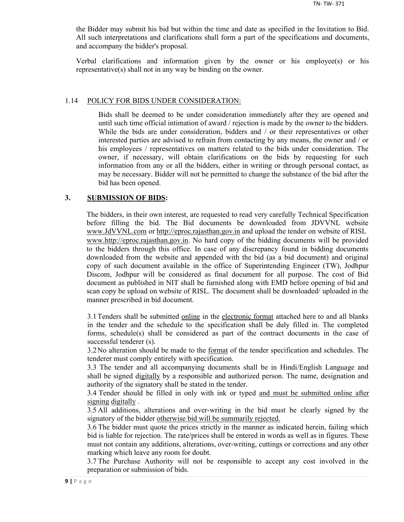the Bidder may submit his bid but within the time and date as specified in the Invitation to Bid. All such interpretations and clarifications shall form a part of the specifications and documents, and accompany the bidder's proposal.

Verbal clarifications and information given by the owner or his employee(s) or his representative(s) shall not in any way be binding on the owner.

#### 1.14 POLICY FOR BIDS UNDER CONSIDERATION:

Bids shall be deemed to be under consideration immediately after they are opened and until such time official intimation of award / rejection is made by the owner to the bidders. While the bids are under consideration, bidders and / or their representatives or other interested parties are advised to refrain from contacting by any means, the owner and / or his employees / representatives on matters related to the bids under consideration. The owner, if necessary, will obtain clarifications on the bids by requesting for such information from any or all the bidders, either in writing or through personal contact, as may be necessary. Bidder will not be permitted to change the substance of the bid after the bid has been opened.

## **3. SUBMISSION OF BIDS:**

The bidders, in their own interest, are requested to read very carefully Technical Specification before filling the bid. The Bid documents be downloaded from JDVVNL website www.JdVVNL.com or http://eproc.rajasthan.gov.in and upload the tender on website of RISL www.http://eproc.rajasthan.gov.in. No hard copy of the bidding documents will be provided to the bidders through this office. In case of any discrepancy found in bidding documents downloaded from the website and appended with the bid (as a bid document) and original copy of such document available in the office of Superintending Engineer (TW), Jodhpur Discom, Jodhpur will be considered as final document for all purpose. The cost of Bid document as published in NIT shall be furnished along with EMD before opening of bid and scan copy be upload on website of RISL. The document shall be downloaded/ uploaded in the manner prescribed in bid document.

3.1 Tenders shall be submitted online in the electronic format attached here to and all blanks in the tender and the schedule to the specification shall be duly filled in. The completed forms, schedule(s) shall be considered as part of the contract documents in the case of successful tenderer (s).

3.2 No alteration should be made to the format of the tender specification and schedules. The tenderer must comply entirely with specification.

3.3 The tender and all accompanying documents shall be in Hindi/English Language and shall be signed digitally by a responsible and authorized person. The name, designation and authority of the signatory shall be stated in the tender.

3.4 Tender should be filled in only with ink or typed and must be submitted online after signing digitally .

3.5 All additions, alterations and over-writing in the bid must be clearly signed by the signatory of the bidder otherwise bid will be summarily rejected.

3.6 The bidder must quote the prices strictly in the manner as indicated herein, failing which bid is liable for rejection. The rate/prices shall be entered in words as well as in figures. These must not contain any additions, alterations, over-writing, cuttings or corrections and any other marking which leave any room for doubt.

3.7 The Purchase Authority will not be responsible to accept any cost involved in the preparation or submission of bids.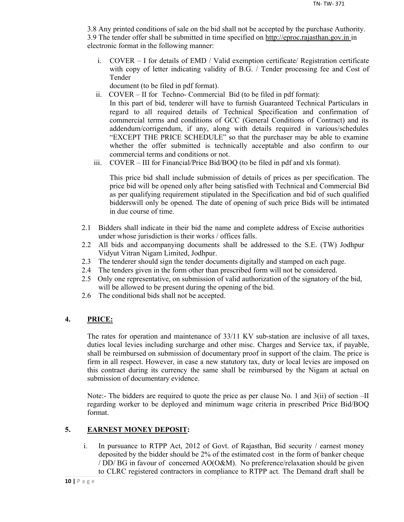3.8 Any printed conditions of sale on the bid shall not be accepted by the purchase Authority. 3.9 The tender offer shall be submitted in time specified on http://eproc.rajasthan.gov.in in electronic format in the following manner:

i. COVER – I for details of EMD / Valid exemption certificate/ Registration certificate with copy of letter indicating validity of B.G. / Tender processing fee and Cost of Tender

document (to be filed in pdf format).

- ii. COVER II for Techno- Commercial Bid (to be filed in pdf format): In this part of bid, tenderer will have to furnish Guaranteed Technical Particulars in regard to all required details of Technical Specification and confirmation of commercial terms and conditions of GCC (General Conditions of Contract) and its addendum/corrigendum, if any, along with details required in various/schedules "EXCEPT THE PRICE SCHEDULE" so that the purchaser may be able to examine whether the offer submitted is technically acceptable and also confirm to our commercial terms and conditions or not.
- iii. COVER III for Financial/Price Bid/BOQ (to be filed in pdf and xls format).

This price bid shall include submission of details of prices as per specification. The price bid will be opened only after being satisfied with Technical and Commercial Bid as per qualifying requirement stipulated in the Specification and bid of such qualified bidderswill only be opened. The date of opening of such price Bids will be intimated in due course of time.

- 2.1 Bidders shall indicate in their bid the name and complete address of Excise authorities under whose jurisdiction is their works / offices falls.
- 2.2 All bids and accompanying documents shall be addressed to the S.E. (TW) Jodhpur Vidyut Vitran Nigam Limited, Jodhpur.
- 2.3 The tenderer should sign the tender documents digitally and stamped on each page.
- 2.4 The tenders given in the form other than prescribed form will not be considered.
- 2.5 Only one representative, on submission of valid authorization of the signatory of the bid, will be allowed to be present during the opening of the bid.
- 2.6 The conditional bids shall not be accepted.

## **4. PRICE:**

The rates for operation and maintenance of 33/11 KV sub-station are inclusive of all taxes, duties local levies including surcharge and other misc. Charges and Service tax, if payable, shall be reimbursed on submission of documentary proof in support of the claim. The price is firm in all respect. However, in case a new statutory tax, duty or local levies are imposed on this contract during its currency the same shall be reimbursed by the Nigam at actual on submission of documentary evidence.

Note:- The bidders are required to quote the price as per clause No. 1 and 3(ii) of section –II regarding worker to be deployed and minimum wage criteria in prescribed Price Bid/BOQ format.

## **5. EARNEST MONEY DEPOSIT:**

i. In pursuance to RTPP Act, 2012 of Govt. of Rajasthan, Bid security / earnest money deposited by the bidder should be 2% of the estimated cost in the form of banker cheque / DD/ BG in favour of concerned AO(O&M). No preference/relaxation should be given to CLRC registered contractors in compliance to RTPP act. The Demand draft shall be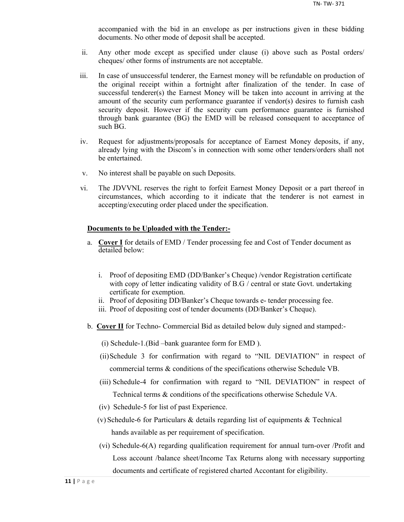accompanied with the bid in an envelope as per instructions given in these bidding documents. No other mode of deposit shall be accepted.

- ii. Any other mode except as specified under clause (i) above such as Postal orders/ cheques/ other forms of instruments are not acceptable.
- iii. In case of unsuccessful tenderer, the Earnest money will be refundable on production of the original receipt within a fortnight after finalization of the tender. In case of successful tenderer(s) the Earnest Money will be taken into account in arriving at the amount of the security cum performance guarantee if vendor(s) desires to furnish cash security deposit. However if the security cum performance guarantee is furnished through bank guarantee (BG) the EMD will be released consequent to acceptance of such BG.
- iv. Request for adjustments/proposals for acceptance of Earnest Money deposits, if any, already lying with the Discom's in connection with some other tenders/orders shall not be entertained.
- v. No interest shall be payable on such Deposits.
- vi. The JDVVNL reserves the right to forfeit Earnest Money Deposit or a part thereof in circumstances, which according to it indicate that the tenderer is not earnest in accepting/executing order placed under the specification.

## **Documents to be Uploaded with the Tender:-**

- a. **Cover I** for details of EMD / Tender processing fee and Cost of Tender document as detailed below:
	- i. Proof of depositing EMD (DD/Banker's Cheque) /vendor Registration certificate with copy of letter indicating validity of B.G / central or state Govt. undertaking certificate for exemption.
	- ii. Proof of depositing DD/Banker's Cheque towards e- tender processing fee.
	- iii. Proof of depositing cost of tender documents (DD/Banker's Cheque).
- b. **Cover II** for Techno- Commercial Bid as detailed below duly signed and stamped:-
	- (i) Schedule-1.(Bid –bank guarantee form for EMD ).
	- (ii)Schedule 3 for confirmation with regard to "NIL DEVIATION" in respect of commercial terms & conditions of the specifications otherwise Schedule VB.
	- (iii) Schedule-4 for confirmation with regard to "NIL DEVIATION" in respect of Technical terms & conditions of the specifications otherwise Schedule VA.
	- (iv) Schedule-5 for list of past Experience.
	- (v) Schedule-6 for Particulars & details regarding list of equipments & Technical hands available as per requirement of specification.
	- (vi) Schedule-6(A) regarding qualification requirement for annual turn-over /Profit and Loss account /balance sheet/Income Tax Returns along with necessary supporting documents and certificate of registered charted Accontant for eligibility.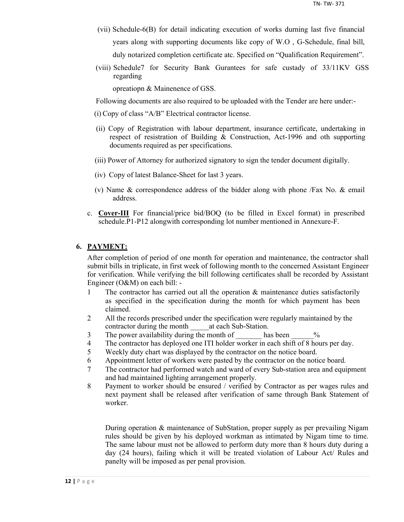- (vii) Schedule-6(B) for detail indicating execution of works durning last five financial years along with supporting documents like copy of W.O , G-Schedule, final bill, duly notarized completion certificate atc. Specified on "Qualification Requirement".
- (viii) Schedule7 for Security Bank Gurantees for safe custady of 33/11KV GSS regarding

opreatiopn & Mainenence of GSS.

Following documents are also required to be uploaded with the Tender are here under:-

- (i) Copy of class "A/B" Electrical contractor license.
- (ii) Copy of Registration with labour department, insurance certificate, undertaking in respect of resistration of Building & Construction, Act-1996 and oth supporting documents required as per specifications.
- (iii) Power of Attorney for authorized signatory to sign the tender document digitally.
- (iv) Copy of latest Balance-Sheet for last 3 years.
- (v) Name & correspondence address of the bidder along with phone /Fax No. & email address.
- c. **Cover-III** For financial/price bid/BOQ (to be filled in Excel format) in prescribed schedule.P1-P12 alongwith corresponding lot number mentioned in Annexure-F.

## **6. PAYMENT:**

After completion of period of one month for operation and maintenance, the contractor shall submit bills in triplicate, in first week of following month to the concerned Assistant Engineer for verification. While verifying the bill following certificates shall be recorded by Assistant Engineer (O&M) on each bill: -

- 1 The contractor has carried out all the operation & maintenance duties satisfactorily as specified in the specification during the month for which payment has been claimed.
- 2 All the records prescribed under the specification were regularly maintained by the contractor during the month at each Sub-Station.
- 3 The power availability during the month of has been  $\%$
- 4 The contractor has deployed one ITI holder worker in each shift of 8 hours per day.
- 5 Weekly duty chart was displayed by the contractor on the notice board.
- 6 Appointment letter of workers were pasted by the contractor on the notice board.
- 7 The contractor had performed watch and ward of every Sub-station area and equipment and had maintained lighting arrangement properly.
- 8 Payment to worker should be ensured / verified by Contractor as per wages rules and next payment shall be released after verification of same through Bank Statement of worker.

During operation & maintenance of SubStation, proper supply as per prevailing Nigam rules should be given by his deployed workman as intimated by Nigam time to time. The same labour must not be allowed to perform duty more than 8 hours duty during a day (24 hours), failing which it will be treated violation of Labour Act/ Rules and panelty will be imposed as per penal provision.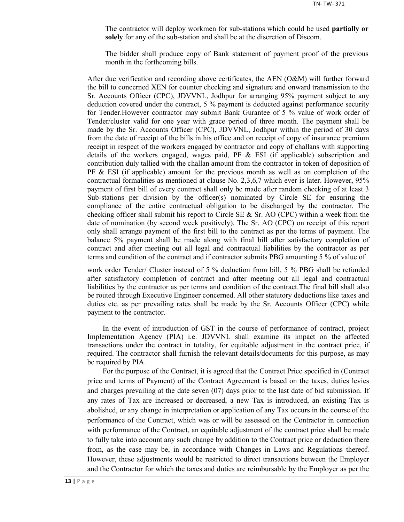The contractor will deploy workmen for sub-stations which could be used **partially or solely** for any of the sub-station and shall be at the discretion of Discom.

The bidder shall produce copy of Bank statement of payment proof of the previous month in the forthcoming bills.

After due verification and recording above certificates, the AEN (O&M) will further forward the bill to concerned XEN for counter checking and signature and onward transmission to the Sr. Accounts Officer (CPC), JDVVNL, Jodhpur for arranging 95% payment subject to any deduction covered under the contract, 5 % payment is deducted against performance security for Tender.However contractor may submit Bank Gurantee of 5 % value of work order of Tender/cluster valid for one year with grace period of three month. The payment shall be made by the Sr. Accounts Officer (CPC), JDVVNL, Jodhpur within the period of 30 days from the date of receipt of the bills in his office and on receipt of copy of insurance premium receipt in respect of the workers engaged by contractor and copy of challans with supporting details of the workers engaged, wages paid, PF  $\&$  ESI (if applicable) subscription and contribution duly tallied with the challan amount from the contractor in token of deposition of  $PF \& ESI$  (if applicable) amount for the previous month as well as on completion of the contractual formalities as mentioned at clause No. 2,3,6,7 which ever is later. However, 95% payment of first bill of every contract shall only be made after random checking of at least 3 Sub-stations per division by the officer(s) nominated by Circle SE for ensuring the compliance of the entire contractual obligation to be discharged by the contractor. The checking officer shall submit his report to Circle SE  $\&$  Sr. AO (CPC) within a week from the date of nomination (by second week positively). The Sr. AO (CPC) on receipt of this report only shall arrange payment of the first bill to the contract as per the terms of payment. The balance 5% payment shall be made along with final bill after satisfactory completion of contract and after meeting out all legal and contractual liabilities by the contractor as per terms and condition of the contract and if contractor submits PBG amounting 5 % of value of

work order Tender/ Cluster instead of 5 % deduction from bill, 5 % PBG shall be refunded after satisfactory completion of contract and after meeting out all legal and contractual liabilities by the contractor as per terms and condition of the contract.The final bill shall also be routed through Executive Engineer concerned. All other statutory deductions like taxes and duties etc. as per prevailing rates shall be made by the Sr. Accounts Officer (CPC) while payment to the contractor.

In the event of introduction of GST in the course of performance of contract, project Implementation Agency (PIA) i.e. JDVVNL shall examine its impact on the affected transactions under the contract in totality, for equitable adjustment in the contract price, if required. The contractor shall furnish the relevant details/documents for this purpose, as may be required by PIA.

For the purpose of the Contract, it is agreed that the Contract Price specified in (Contract price and terms of Payment) of the Contract Agreement is based on the taxes, duties levies and charges prevailing at the date seven (07) days prior to the last date of bid submission. If any rates of Tax are increased or decreased, a new Tax is introduced, an existing Tax is abolished, or any change in interpretation or application of any Tax occurs in the course of the performance of the Contract, which was or will be assessed on the Contractor in connection with performance of the Contract, an equitable adjustment of the contract price shall be made to fully take into account any such change by addition to the Contract price or deduction there from, as the case may be, in accordance with Changes in Laws and Regulations thereof. However, these adjustments would be restricted to direct transactions between the Employer and the Contractor for which the taxes and duties are reimbursable by the Employer as per the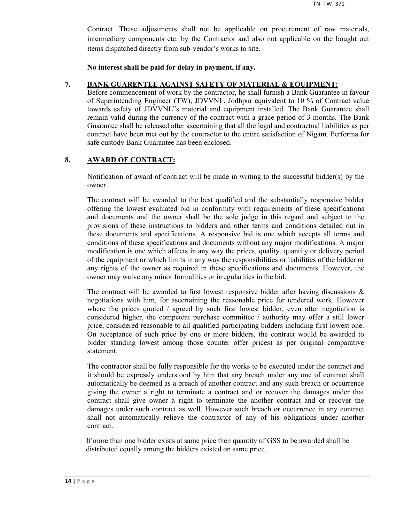Contract. These adjustments shall not be applicable on procurement of raw materials, intermediary components etc. by the Contractor and also not applicable on the bought out items dispatched directly from sub-vendor's works to site.

**No interest shall be paid for delay in payment, if any.**

## **7. BANK GUARENTEE AGAINST SAFETY OF MATERIAL & EQUIPMENT:**

Before commencement of work by the contractor, he shall furnish a Bank Guarantee in favour of Superintending Engineer (TW), JDVVNL, Jodhpur equivalent to 10 % of Contract value towards safety of JDVVNL"s material and equipment installed. The Bank Guarantee shall remain valid during the currency of the contract with a grace period of 3 months. The Bank Guarantee shall be released after ascertaining that all the legal and contractual liabilities as per contract have been met out by the contractor to the entire satisfaction of Nigam. Performa for safe custody Bank Guarantee has been enclosed.

## **8. AWARD OF CONTRACT:**

Notification of award of contract will be made in writing to the successful bidder(s) by the owner.

The contract will be awarded to the best qualified and the substantially responsive bidder offering the lowest evaluated bid in conformity with requirements of these specifications and documents and the owner shall be the sole judge in this regard and subject to the provisions of these instructions to bidders and other terms and conditions detailed out in these documents and specifications. A responsive bid is one which accepts all terms and conditions of these specifications and documents without any major modifications. A major modification is one which affects in any way the prices, quality, quantity or delivery period of the equipment or which limits in any way the responsibilities or liabilities of the bidder or any rights of the owner as required in these specifications and documents. However, the owner may waive any minor formalities or irregularities in the bid.

The contract will be awarded to first lowest responsive bidder after having discussions  $\&$ negotiations with him, for ascertaining the reasonable price for tendered work. However where the prices quoted / agreed by such first lowest bidder, even after negotiation is considered higher, the competent purchase committee / authority may offer a still lower price, considered reasonable to all qualified participating bidders including first lowest one. On acceptance of such price by one or more bidders, the contract would be awarded to bidder standing lowest among those counter offer prices) as per original comparative statement.

The contractor shall be fully responsible for the works to be executed under the contract and it should be expressly understood by him that any breach under any one of contract shall automatically be deemed as a breach of another contract and any such breach or occurrence giving the owner a right to terminate a contract and or recover the damages under that contract shall give owner a right to terminate the another contract and or recover the damages under such contract as well. However such breach or occurrence in any contract shall not automatically relieve the contractor of any of his obligations under another contract.

If more than one bidder exists at same price then quantity of GSS to be awarded shall be distributed equally among the bidders existed on same price.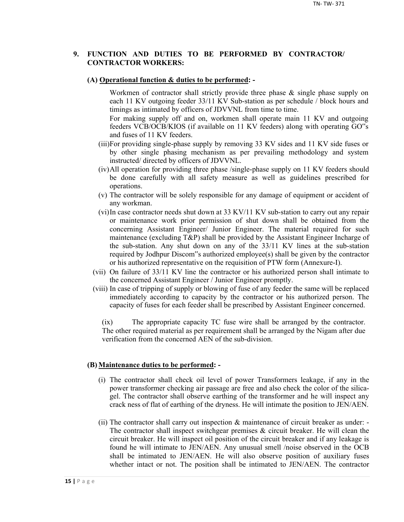## **9. FUNCTION AND DUTIES TO BE PERFORMED BY CONTRACTOR/ CONTRACTOR WORKERS:**

#### **(A) Operational function & duties to be performed: -**

Workmen of contractor shall strictly provide three phase & single phase supply on each 11 KV outgoing feeder 33/11 KV Sub-station as per schedule / block hours and timings as intimated by officers of JDVVNL from time to time.

For making supply off and on, workmen shall operate main 11 KV and outgoing feeders VCB/OCB/KIOS (if available on 11 KV feeders) along with operating GO"s and fuses of 11 KV feeders.

- (iii)For providing single-phase supply by removing 33 KV sides and 11 KV side fuses or by other single phasing mechanism as per prevailing methodology and system instructed/ directed by officers of JDVVNL.
- (iv)All operation for providing three phase /single-phase supply on 11 KV feeders should be done carefully with all safety measure as well as guidelines prescribed for operations.
- (v) The contractor will be solely responsible for any damage of equipment or accident of any workman.
- (vi)In case contractor needs shut down at 33 KV/11 KV sub-station to carry out any repair or maintenance work prior permission of shut down shall be obtained from the concerning Assistant Engineer/ Junior Engineer. The material required for such maintenance (excluding T&P) shall be provided by the Assistant Engineer Incharge of the sub-station. Any shut down on any of the 33/11 KV lines at the sub-station required by Jodhpur Discom"s authorized employee(s) shall be given by the contractor or his authorized representative on the requisition of PTW form (Annexure-I).
- (vii) On failure of 33/11 KV line the contractor or his authorized person shall intimate to the concerned Assistant Engineer / Junior Engineer promptly.
- (viii) In case of tripping of supply or blowing of fuse of any feeder the same will be replaced immediately according to capacity by the contractor or his authorized person. The capacity of fuses for each feeder shall be prescribed by Assistant Engineer concerned.

(ix) The appropriate capacity TC fuse wire shall be arranged by the contractor. The other required material as per requirement shall be arranged by the Nigam after due verification from the concerned AEN of the sub-division.

#### **(B) Maintenance duties to be performed: -**

- (i) The contractor shall check oil level of power Transformers leakage, if any in the power transformer checking air passage are free and also check the color of the silicagel. The contractor shall observe earthing of the transformer and he will inspect any crack ness of flat of earthing of the dryness. He will intimate the position to JEN/AEN.
- (ii) The contractor shall carry out inspection & maintenance of circuit breaker as under: The contractor shall inspect switchgear premises  $\&$  circuit breaker. He will clean the circuit breaker. He will inspect oil position of the circuit breaker and if any leakage is found he will intimate to JEN/AEN. Any unusual smell /noise observed in the OCB shall be intimated to JEN/AEN. He will also observe position of auxiliary fuses whether intact or not. The position shall be intimated to JEN/AEN. The contractor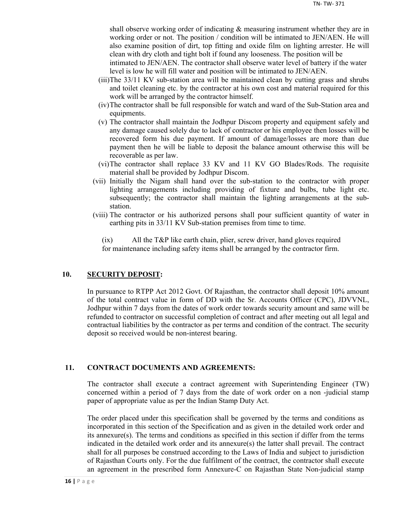shall observe working order of indicating & measuring instrument whether they are in working order or not. The position / condition will be intimated to JEN/AEN. He will also examine position of dirt, top fitting and oxide film on lighting arrester. He will clean with dry cloth and tight bolt if found any looseness. The position will be

intimated to JEN/AEN. The contractor shall observe water level of battery if the water level is low he will fill water and position will be intimated to JEN/AEN.

- (iii)The 33/11 KV sub-station area will be maintained clean by cutting grass and shrubs and toilet cleaning etc. by the contractor at his own cost and material required for this work will be arranged by the contractor himself.
- (iv)The contractor shall be full responsible for watch and ward of the Sub-Station area and equipments.
- (v) The contractor shall maintain the Jodhpur Discom property and equipment safely and any damage caused solely due to lack of contractor or his employee then losses will be recovered form his due payment. If amount of damage/losses are more than due payment then he will be liable to deposit the balance amount otherwise this will be recoverable as per law.
- (vi)The contractor shall replace 33 KV and 11 KV GO Blades/Rods. The requisite material shall be provided by Jodhpur Discom.
- (vii) Initially the Nigam shall hand over the sub-station to the contractor with proper lighting arrangements including providing of fixture and bulbs, tube light etc. subsequently; the contractor shall maintain the lighting arrangements at the substation.
- (viii) The contractor or his authorized persons shall pour sufficient quantity of water in earthing pits in 33/11 KV Sub-station premises from time to time.

(ix) All the T&P like earth chain, plier, screw driver, hand gloves required for maintenance including safety items shall be arranged by the contractor firm.

## **10. SECURITY DEPOSIT:**

In pursuance to RTPP Act 2012 Govt. Of Rajasthan, the contractor shall deposit 10% amount of the total contract value in form of DD with the Sr. Accounts Officer (CPC), JDVVNL, Jodhpur within 7 days from the dates of work order towards security amount and same will be refunded to contractor on successful completion of contract and after meeting out all legal and contractual liabilities by the contractor as per terms and condition of the contract. The security deposit so received would be non-interest bearing.

## **11. CONTRACT DOCUMENTS AND AGREEMENTS:**

The contractor shall execute a contract agreement with Superintending Engineer (TW) concerned within a period of 7 days from the date of work order on a non -judicial stamp paper of appropriate value as per the Indian Stamp Duty Act.

The order placed under this specification shall be governed by the terms and conditions as incorporated in this section of the Specification and as given in the detailed work order and its annexure(s). The terms and conditions as specified in this section if differ from the terms indicated in the detailed work order and its annexure(s) the latter shall prevail. The contract shall for all purposes be construed according to the Laws of India and subject to jurisdiction of Rajasthan Courts only. For the due fulfilment of the contract, the contractor shall execute an agreement in the prescribed form Annexure-C on Rajasthan State Non-judicial stamp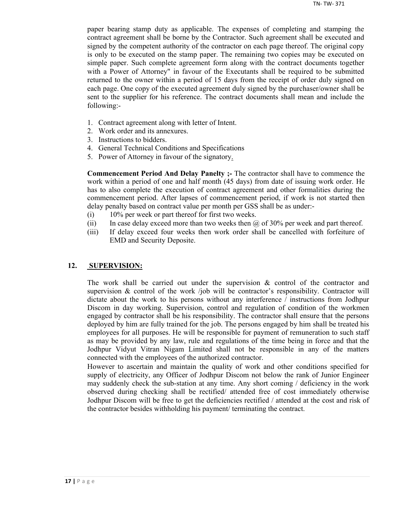paper bearing stamp duty as applicable. The expenses of completing and stamping the contract agreement shall be borne by the Contractor. Such agreement shall be executed and signed by the competent authority of the contractor on each page thereof. The original copy is only to be executed on the stamp paper. The remaining two copies may be executed on simple paper. Such complete agreement form along with the contract documents together with a Power of Attorney" in favour of the Executants shall be required to be submitted returned to the owner within a period of 15 days from the receipt of order duly signed on each page. One copy of the executed agreement duly signed by the purchaser/owner shall be sent to the supplier for his reference. The contract documents shall mean and include the following:-

- 1. Contract agreement along with letter of Intent.
- 2. Work order and its annexures.
- 3. Instructions to bidders.
- 4. General Technical Conditions and Specifications
- 5. Power of Attorney in favour of the signatory.

**Commencement Period And Delay Panelty ;-** The contractor shall have to commence the work within a period of one and half month (45 days) from date of issuing work order. He has to also complete the execution of contract agreement and other formalities during the commencement period. After lapses of commencement period, if work is not started then delay penalty based on contract value per month per GSS shall be as under:-

- (i) 10% per week or part thereof for first two weeks.
- (ii) In case delay exceed more than two weeks then  $\omega$  of 30% per week and part thereof.
- (iii) If delay exceed four weeks then work order shall be cancelled with forfeiture of EMD and Security Deposite.

## **12. SUPERVISION:**

The work shall be carried out under the supervision  $\&$  control of the contractor and supervision  $\&$  control of the work /job will be contractor's responsibility. Contractor will dictate about the work to his persons without any interference / instructions from Jodhpur Discom in day working. Supervision, control and regulation of condition of the workmen engaged by contractor shall be his responsibility. The contractor shall ensure that the persons deployed by him are fully trained for the job. The persons engaged by him shall be treated his employees for all purposes. He will be responsible for payment of remuneration to such staff as may be provided by any law, rule and regulations of the time being in force and that the Jodhpur Vidyut Vitran Nigam Limited shall not be responsible in any of the matters connected with the employees of the authorized contractor.

However to ascertain and maintain the quality of work and other conditions specified for supply of electricity, any Officer of Jodhpur Discom not below the rank of Junior Engineer may suddenly check the sub-station at any time. Any short coming / deficiency in the work observed during checking shall be rectified/ attended free of cost immediately otherwise Jodhpur Discom will be free to get the deficiencies rectified / attended at the cost and risk of the contractor besides withholding his payment/ terminating the contract.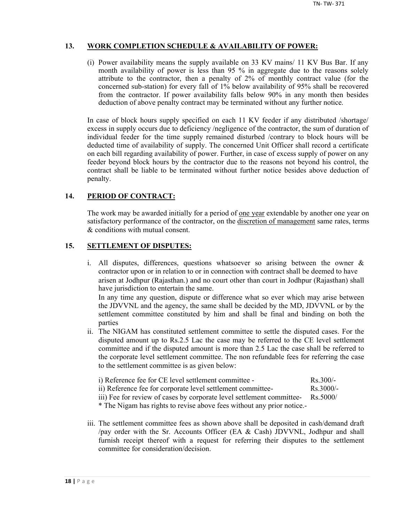## **13. WORK COMPLETION SCHEDULE & AVAILABILITY OF POWER:**

(i) Power availability means the supply available on 33 KV mains/ 11 KV Bus Bar. If any month availability of power is less than 95 % in aggregate due to the reasons solely attribute to the contractor, then a penalty of 2% of monthly contract value (for the concerned sub-station) for every fall of 1% below availability of 95% shall be recovered from the contractor. If power availability falls below 90% in any month then besides deduction of above penalty contract may be terminated without any further notice.

In case of block hours supply specified on each 11 KV feeder if any distributed /shortage/ excess in supply occurs due to deficiency /negligence of the contractor, the sum of duration of individual feeder for the time supply remained disturbed /contrary to block hours will be deducted time of availability of supply. The concerned Unit Officer shall record a certificate on each bill regarding availability of power. Further, in case of excess supply of power on any feeder beyond block hours by the contractor due to the reasons not beyond his control, the contract shall be liable to be terminated without further notice besides above deduction of penalty.

## **14. PERIOD OF CONTRACT:**

The work may be awarded initially for a period of <u>one year</u> extendable by another one year on satisfactory performance of the contractor, on the discretion of management same rates, terms & conditions with mutual consent.

## **15. SETTLEMENT OF DISPUTES:**

- i. All disputes, differences, questions whatsoever so arising between the owner & contractor upon or in relation to or in connection with contract shall be deemed to have arisen at Jodhpur (Rajasthan.) and no court other than court in Jodhpur (Rajasthan) shall have jurisdiction to entertain the same. In any time any question, dispute or difference what so ever which may arise between the JDVVNL and the agency, the same shall be decided by the MD, JDVVNL or by the settlement committee constituted by him and shall be final and binding on both the parties
- ii. The NIGAM has constituted settlement committee to settle the disputed cases. For the disputed amount up to Rs.2.5 Lac the case may be referred to the CE level settlement committee and if the disputed amount is more than 2.5 Lac the case shall be referred to the corporate level settlement committee. The non refundable fees for referring the case to the settlement committee is as given below:

| i) Reference fee for CE level settlement committee -        | $Rs$ 300/-          |
|-------------------------------------------------------------|---------------------|
| ii) Reference fee for corporate level settlement committee- | $\text{Rs } 3000/-$ |

iii) Fee for review of cases by corporate level settlement committee- Rs.5000/

\* The Nigam has rights to revise above fees without any prior notice.-

iii. The settlement committee fees as shown above shall be deposited in cash/demand draft /pay order with the Sr. Accounts Officer (EA & Cash) JDVVNL, Jodhpur and shall furnish receipt thereof with a request for referring their disputes to the settlement committee for consideration/decision.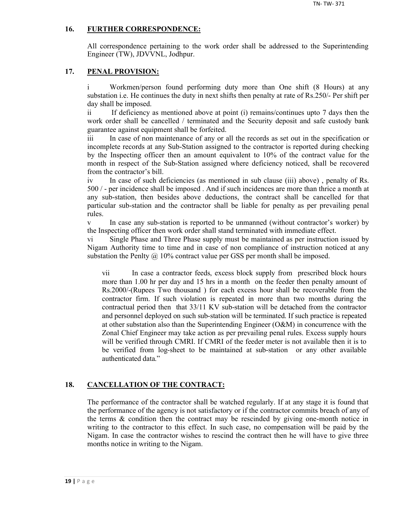## **16. FURTHER CORRESPONDENCE:**

All correspondence pertaining to the work order shall be addressed to the Superintending Engineer (TW), JDVVNL, Jodhpur.

## **17. PENAL PROVISION:**

i Workmen/person found performing duty more than One shift (8 Hours) at any substation i.e. He continues the duty in next shifts then penalty at rate of Rs.250/- Per shift per day shall be imposed.

ii If deficiency as mentioned above at point (i) remains/continues upto 7 days then the work order shall be cancelled / terminated and the Security deposit and safe custody bank guarantee against equipment shall be forfeited.

iii In case of non maintenance of any or all the records as set out in the specification or incomplete records at any Sub-Station assigned to the contractor is reported during checking by the Inspecting officer then an amount equivalent to 10% of the contract value for the month in respect of the Sub-Station assigned where deficiency noticed, shall be recovered from the contractor's bill.

iv In case of such deficiencies (as mentioned in sub clause (iii) above) , penalty of Rs. 500 / - per incidence shall be imposed . And if such incidences are more than thrice a month at any sub-station, then besides above deductions, the contract shall be cancelled for that particular sub-station and the contractor shall be liable for penalty as per prevailing penal rules.

v In case any sub-station is reported to be unmanned (without contractor's worker) by the Inspecting officer then work order shall stand terminated with immediate effect.

vi Single Phase and Three Phase supply must be maintained as per instruction issued by Nigam Authority time to time and in case of non compliance of instruction noticed at any substation the Penlty  $\omega$  10% contract value per GSS per month shall be imposed.

vii In case a contractor feeds, excess block supply from prescribed block hours more than 1.00 hr per day and 15 hrs in a month on the feeder then penalty amount of Rs.2000/-(Rupees Two thousand ) for each excess hour shall be recoverable from the contractor firm. If such violation is repeated in more than two months during the contractual period then that 33/11 KV sub-station will be detached from the contractor and personnel deployed on such sub-station will be terminated. If such practice is repeated at other substation also than the Superintending Engineer (O&M) in concurrence with the Zonal Chief Engineer may take action as per prevailing penal rules. Excess supply hours will be verified through CMRI. If CMRI of the feeder meter is not available then it is to be verified from log-sheet to be maintained at sub-station or any other available authenticated data."

## **18. CANCELLATION OF THE CONTRACT:**

The performance of the contractor shall be watched regularly. If at any stage it is found that the performance of the agency is not satisfactory or if the contractor commits breach of any of the terms  $\&$  condition then the contract may be rescinded by giving one-month notice in writing to the contractor to this effect. In such case, no compensation will be paid by the Nigam. In case the contractor wishes to rescind the contract then he will have to give three months notice in writing to the Nigam.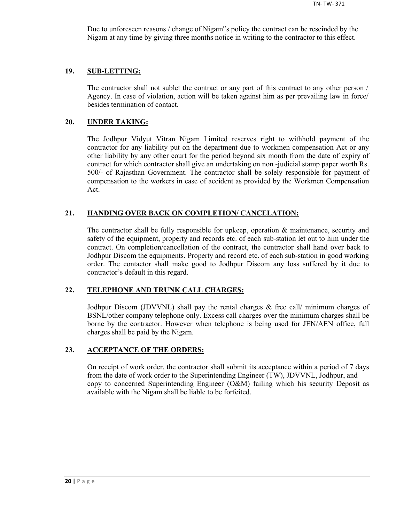Due to unforeseen reasons / change of Nigam"s policy the contract can be rescinded by the Nigam at any time by giving three months notice in writing to the contractor to this effect.

#### **19. SUB-LETTING:**

The contractor shall not sublet the contract or any part of this contract to any other person / Agency. In case of violation, action will be taken against him as per prevailing law in force/ besides termination of contact.

#### **20. UNDER TAKING:**

The Jodhpur Vidyut Vitran Nigam Limited reserves right to withhold payment of the contractor for any liability put on the department due to workmen compensation Act or any other liability by any other court for the period beyond six month from the date of expiry of contract for which contractor shall give an undertaking on non -judicial stamp paper worth Rs. 500/- of Rajasthan Government. The contractor shall be solely responsible for payment of compensation to the workers in case of accident as provided by the Workmen Compensation Act.

## **21. HANDING OVER BACK ON COMPLETION/ CANCELATION:**

The contractor shall be fully responsible for upkeep, operation & maintenance, security and safety of the equipment, property and records etc. of each sub-station let out to him under the contract. On completion/cancellation of the contract, the contractor shall hand over back to Jodhpur Discom the equipments. Property and record etc. of each sub-station in good working order. The contactor shall make good to Jodhpur Discom any loss suffered by it due to contractor's default in this regard.

## **22. TELEPHONE AND TRUNK CALL CHARGES:**

Jodhpur Discom (JDVVNL) shall pay the rental charges & free call/ minimum charges of BSNL/other company telephone only. Excess call charges over the minimum charges shall be borne by the contractor. However when telephone is being used for JEN/AEN office, full charges shall be paid by the Nigam.

#### **23. ACCEPTANCE OF THE ORDERS:**

On receipt of work order, the contractor shall submit its acceptance within a period of 7 days from the date of work order to the Superintending Engineer (TW), JDVVNL, Jodhpur, and copy to concerned Superintending Engineer (O&M) failing which his security Deposit as available with the Nigam shall be liable to be forfeited.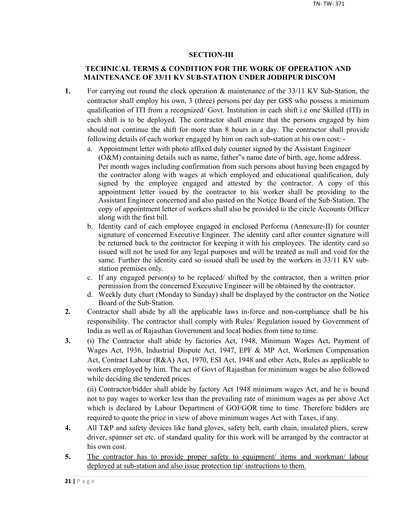## **SECTION-III**

## **TECHNICAL TERMS & CONDITION FOR THE WORK OF OPERATION AND MAINTENANCE OF 33/11 KV SUB-STATION UNDER JODHPUR DISCOM**

- **1.** For carrying out round the clock operation & maintenance of the 33/11 KV Sub-Station, the contractor shall employ his own, 3 (three) persons per day per GSS who possess a minimum qualification of ITI from a recognized/ Govt. Institution in each shift i.e one Skilled (ITI) in each shift is to be deployed. The contractor shall ensure that the persons engaged by him should not continue the shift for more than 8 hours in a day. The contractor shall provide following details of each worker engaged by him on each sub-station at his own cost:
	- a. Appointment letter with photo affixed duly counter signed by the Assistant Engineer (O&M) containing details such as name, father"s name date of birth, age, home address. Per month wages including confirmation from such persons about having been engaged by the contractor along with wages at which employed and educational qualification, duly signed by the employee engaged and attested by the contractor. A copy of this appointment letter issued by the contractor to his worker shall be providing to the Assistant Engineer concerned and also pasted on the Notice Board of the Sub-Station. The copy of appointment letter of workers shall also be provided to the circle Accounts Officer along with the first bill.
	- b. Identity card of each employee engaged in enclosed Performa (Annexure-II) for counter signature of concerned Executive Engineer. The identity card after counter signature will be returned back to the contractor for keeping it with his employees. The identity card so issued will not be used for any legal purposes and will be treated as null and void for the same. Further the identity card so issued shall be used by the workers in 33/11 KV substation premises only.
	- c. If any engaged person(s) to be replaced/ shifted by the contractor, then a written prior permission from the concerned Executive Engineer will be obtained by the contractor.
	- d. Weekly duty chart (Monday to Sunday) shall be displayed by the contractor on the Notice Board of the Sub-Station.
- **2.** Contractor shall abide by all the applicable laws in-force and non-compliance shall be his responsibility. The contractor shall comply with Rules/ Regulation issued by Government of India as well as of Rajasthan Government and local bodies from time to time.
- **3.** (i) The Contractor shall abide by factories Act, 1948, Minimum Wages Act, Payment of Wages Act, 1936, Industrial Dispute Act, 1947, EPF & MP Act, Workmen Compensation Act, Contract Labour (R&A) Act, 1970, ESI Act, 1948 and other Acts, Rules as applicable to workers employed by him. The act of Govt of Rajasthan for minimum wages be also followed while deciding the tendered prices.

(ii) Contractor/bidder shall abide by factory Act 1948 minimum wages Act, and he is bound not to pay wages to worker less than the prevailing rate of minimum wages as per above Act which is declared by Labour Department of GOI/GOR time to time. Therefore bidders are required to quote the price in view of above minimum wages Act with Taxes, if any.

- **4.** All T&P and safety devices like hand gloves, safety belt, earth chain, insulated pliers, screw driver, spanner set etc. of standard quality for this work will be arranged by the contractor at his own cost.
- 5. The contractor has to provide proper safety to equipment/ items and workman/ labour deployed at sub-station and also issue protection tip/ instructions to them.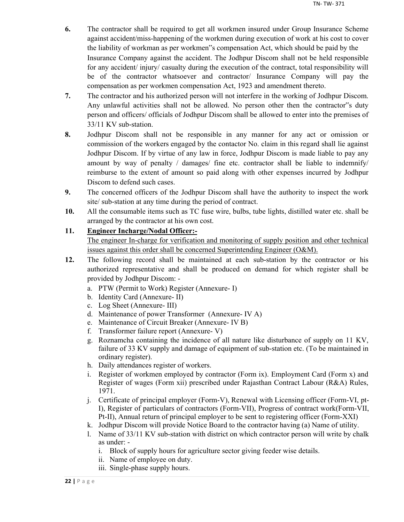- **6.** The contractor shall be required to get all workmen insured under Group Insurance Scheme against accident/miss-happening of the workmen during execution of work at his cost to cover the liability of workman as per workmen"s compensation Act, which should be paid by the Insurance Company against the accident. The Jodhpur Discom shall not be held responsible for any accident/ injury/ casualty during the execution of the contract, total responsibility will be of the contractor whatsoever and contractor/ Insurance Company will pay the compensation as per workmen compensation Act, 1923 and amendment thereto.
- **7.** The contractor and his authorized person will not interfere in the working of Jodhpur Discom. Any unlawful activities shall not be allowed. No person other then the contractor"s duty person and officers/ officials of Jodhpur Discom shall be allowed to enter into the premises of 33/11 KV sub-station.
- **8.** Jodhpur Discom shall not be responsible in any manner for any act or omission or commission of the workers engaged by the contactor No. claim in this regard shall lie against Jodhpur Discom. If by virtue of any law in force, Jodhpur Discom is made liable to pay any amount by way of penalty / damages/ fine etc. contractor shall be liable to indemnify/ reimburse to the extent of amount so paid along with other expenses incurred by Jodhpur Discom to defend such cases.
- **9.** The concerned officers of the Jodhpur Discom shall have the authority to inspect the work site/ sub-station at any time during the period of contract.
- **10.** All the consumable items such as TC fuse wire, bulbs, tube lights, distilled water etc. shall be arranged by the contractor at his own cost.

## **11. Engineer Incharge/Nodal Officer:-**

The engineer In-charge for verification and monitoring of supply position and other technical issues against this order shall be concerned Superintending Engineer (O&M).

- **12.** The following record shall be maintained at each sub-station by the contractor or his authorized representative and shall be produced on demand for which register shall be provided by Jodhpur Discom:
	- a. PTW (Permit to Work) Register (Annexure- I)
	- b. Identity Card (Annexure- II)
	- c. Log Sheet (Annexure- III)
	- d. Maintenance of power Transformer (Annexure- IV A)
	- e. Maintenance of Circuit Breaker (Annexure- IV B)
	- f. Transformer failure report (Annexure- V)
	- g. Roznamcha containing the incidence of all nature like disturbance of supply on 11 KV, failure of 33 KV supply and damage of equipment of sub-station etc. (To be maintained in ordinary register).
	- h. Daily attendances register of workers.
	- i. Register of workmen employed by contractor (Form ix). Employment Card (Form x) and Register of wages (Form xii) prescribed under Rajasthan Contract Labour (R&A) Rules, 1971.
	- j. Certificate of principal employer (Form-V), Renewal with Licensing officer (Form-VI, pt-I), Register of particulars of contractors (Form-VII), Progress of contract work(Form-VII, Pt-II), Annual return of principal employer to be sent to registering officer (Form-XXI)
	- k. Jodhpur Discom will provide Notice Board to the contractor having (a) Name of utility.
	- l. Name of 33/11 KV sub-station with district on which contractor person will write by chalk as under:
		- i. Block of supply hours for agriculture sector giving feeder wise details.
		- ii. Name of employee on duty.
		- iii. Single-phase supply hours.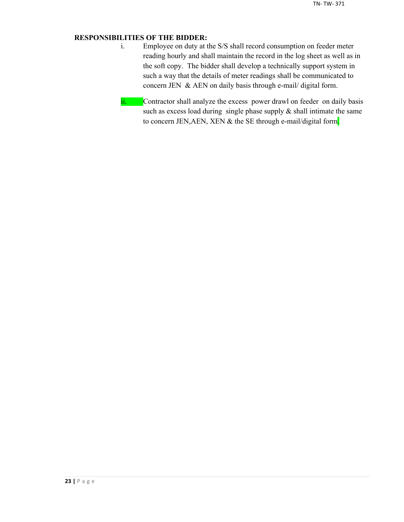## **RESPONSIBILITIES OF THE BIDDER:**

- i. Employee on duty at the S/S shall record consumption on feeder meter reading hourly and shall maintain the record in the log sheet as well as in the soft copy. The bidder shall develop a technically support system in such a way that the details of meter readings shall be communicated to concern JEN & AEN on daily basis through e-mail/ digital form.
- ii. Contractor shall analyze the excess power drawl on feeder on daily basis such as excess load during single phase supply  $\&$  shall intimate the same to concern JEN, AEN, XEN & the SE through e-mail/digital form.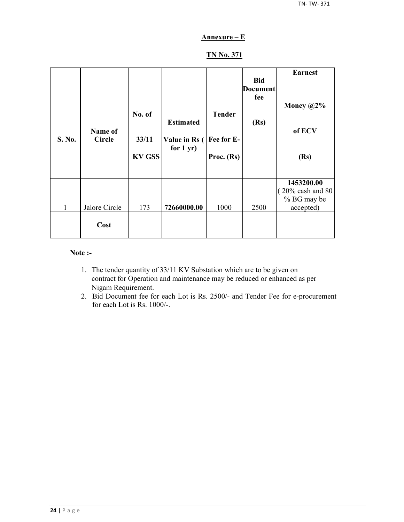## **Annexure – E**

## **TN No. 371**

| S. No.       | Name of<br><b>Circle</b> | No. of<br>33/11<br><b>KV GSS</b> | <b>Estimated</b><br>Value in Rs (<br>for $1 yr$ ) | <b>Tender</b><br>Fee for E-<br>Proc. (Rs) | <b>Bid</b><br><b>Document</b><br>fee<br>(Rs) | <b>Earnest</b><br>Money $@2\%$<br>of ECV<br>(Rs)                        |
|--------------|--------------------------|----------------------------------|---------------------------------------------------|-------------------------------------------|----------------------------------------------|-------------------------------------------------------------------------|
| $\mathbf{1}$ | Jalore Circle            | 173                              | 72660000.00                                       | 1000                                      | 2500                                         | 1453200.00<br>$(20\% \text{ cash and } 80)$<br>% BG may be<br>accepted) |
|              | Cost                     |                                  |                                                   |                                           |                                              |                                                                         |

## **Note :-**

- 1. The tender quantity of 33/11 KV Substation which are to be given on contract for Operation and maintenance may be reduced or enhanced as per Nigam Requirement.
- 2. Bid Document fee for each Lot is Rs. 2500/- and Tender Fee for e-procurement for each Lot is Rs. 1000/-.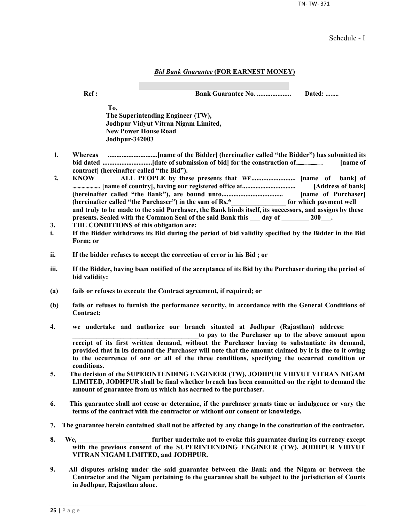TN- TW- 371

Schedule - I

#### *Bid Bank Guarantee* **(FOR EARNEST MONEY)**

**Ref : Bank Guarantee No. .................... Dated: ........**

**To, The Superintending Engineer (TW), Jodhpur Vidyut Vitran Nigam Limited, New Power House Road Jodhpur-342003**

- **1. Whereas .............................[name of the Bidder] (hereinafter called "the Bidder") has submitted its bid dated .............................[date of submission of bid] for the construction of......................... [name of contract] (hereinafter called "the Bid").**
- **2. KNOW ALL PEOPLE by these presents that WE.......................... [name of bank] of ..................... [name of country], having our registered office at................................ [Address of bank] (hereinafter called "the Bank"), are bound unto.................................... [name of Purchaser] (hereinafter called "the Purchaser") in the sum of Rs.\*\_\_\_\_\_\_\_\_\_\_\_\_\_\_\_\_ for which payment well and truly to be made to the said Purchaser, the Bank binds itself, its successors, and assigns by these**  presents. Sealed with the Common Seal of the said Bank this day of 200<sup>1</sup>.
- **3. THE CONDITIONS of this obligation are:**
- **i. If the Bidder withdraws its Bid during the period of bid validity specified by the Bidder in the Bid Form; or**
- **ii. If the bidder refuses to accept the correction of error in his Bid ; or**
- **iii. If the Bidder, having been notified of the acceptance of its Bid by the Purchaser during the period of bid validity:**
- **(a) fails or refuses to execute the Contract agreement, if required; or**
- **(b) fails or refuses to furnish the performance security, in accordance with the General Conditions of Contract;**
- **4. we undertake and authorize our branch situated at Jodhpur (Rajasthan) address:**

to pay to the Purchaser up to the above amount upon **receipt of its first written demand, without the Purchaser having to substantiate its demand, provided that in its demand the Purchaser will note that the amount claimed by it is due to it owing to the occurrence of one or all of the three conditions, specifying the occurred condition or conditions.**

- **5. The decision of the SUPERINTENDING ENGINEER (TW), JODHPUR VIDYUT VITRAN NIGAM LIMITED, JODHPUR shall be final whether breach has been committed on the right to demand the amount of guarantee from us which has accrued to the purchaser.**
- **6. This guarantee shall not cease or determine, if the purchaser grants time or indulgence or vary the terms of the contract with the contractor or without our consent or knowledge.**
- **7. The guarantee herein contained shall not be affected by any change in the constitution of the contractor.**
- **8. We, \_\_\_\_\_\_\_\_\_\_\_\_\_\_\_\_\_\_\_\_\_ further undertake not to evoke this guarantee during its currency except with the previous consent of the SUPERINTENDING ENGINEER (TW), JODHPUR VIDYUT VITRAN NIGAM LIMITED, and JODHPUR.**
- **9. All disputes arising under the said guarantee between the Bank and the Nigam or between the Contractor and the Nigam pertaining to the guarantee shall be subject to the jurisdiction of Courts in Jodhpur, Rajasthan alone.**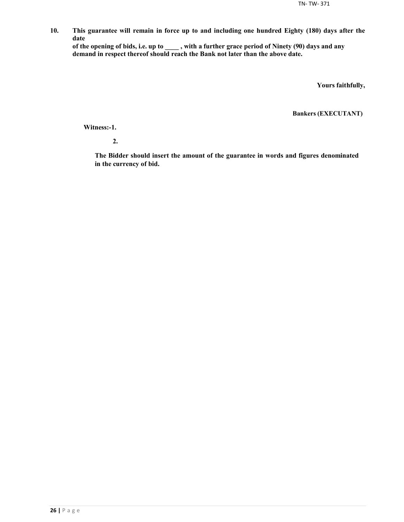**10. This guarantee will remain in force up to and including one hundred Eighty (180) days after the date**

**of the opening of bids, i.e. up to \_\_\_\_ , with a further grace period of Ninety (90) days and any demand in respect thereof should reach the Bank not later than the above date.**

**Yours faithfully,**

**Bankers (EXECUTANT)**

**Witness:-1.**

**2.**

**The Bidder should insert the amount of the guarantee in words and figures denominated in the currency of bid.**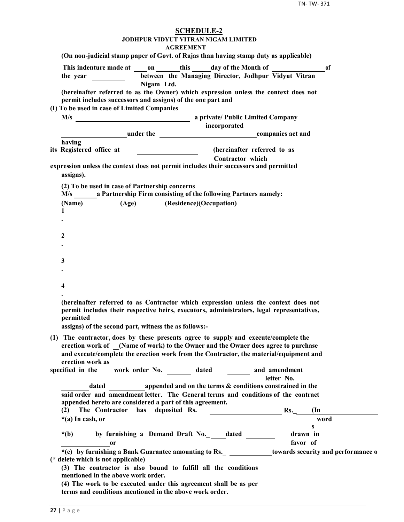| <b>SCHEDULE-2</b><br><b>JODHPUR VIDYUT VITRAN NIGAM LIMITED</b><br><b>AGREEMENT</b>                                                                                                                                                                    |
|--------------------------------------------------------------------------------------------------------------------------------------------------------------------------------------------------------------------------------------------------------|
| (On non-judicial stamp paper of Govt. of Rajas than having stamp duty as applicable)                                                                                                                                                                   |
| This indenture made at on this day of the Month of<br>of<br>between the Managing Director, Jodhpur Vidyut Vitran<br>Nigam Ltd.                                                                                                                         |
| (hereinafter referred to as the Owner) which expression unless the context does not<br>permit includes successors and assigns) of the one part and                                                                                                     |
| (I) To be used in case of Limited Companies<br>incorporated                                                                                                                                                                                            |
| <b>Example 2</b> under the <b>companies</b> act and                                                                                                                                                                                                    |
| having                                                                                                                                                                                                                                                 |
| (hereinafter referred to as<br>its Registered office at                                                                                                                                                                                                |
| <b>Contractor</b> which<br>expression unless the context does not permit includes their successors and permitted<br>assigns).                                                                                                                          |
| (2) To be used in case of Partnership concerns<br>M/s ________ a Partnership Firm consisting of the following Partners namely:                                                                                                                         |
| (Age) (Residence)(Occupation)<br>(Name)                                                                                                                                                                                                                |
| 1                                                                                                                                                                                                                                                      |
|                                                                                                                                                                                                                                                        |
| 2                                                                                                                                                                                                                                                      |
|                                                                                                                                                                                                                                                        |
|                                                                                                                                                                                                                                                        |
| 3                                                                                                                                                                                                                                                      |
|                                                                                                                                                                                                                                                        |
| 4                                                                                                                                                                                                                                                      |
|                                                                                                                                                                                                                                                        |
| (hereinafter referred to as Contractor which expression unless the context does not<br>permit includes their respective heirs, executors, administrators, legal representatives,<br>nermitted<br>assigns) of the second part, witness the as follows:- |
| (1) The contractor, does by these presents agree to supply and execute/complete the                                                                                                                                                                    |
| erection work of (Name of work) to the Owner and the Owner does agree to purchase<br>and execute/complete the erection work from the Contractor, the material/equipment and<br>erection work as                                                        |
| work order No. _________ dated _________ and amendment<br>specified in the                                                                                                                                                                             |
| letter No.<br>dated appended and on the terms & conditions constrained in the                                                                                                                                                                          |
| said order and amendment letter. The General terms and conditions of the contract                                                                                                                                                                      |
| appended hereto are considered a part of this agreement.                                                                                                                                                                                               |
| has deposited Rs.<br>Rs.<br>(2)<br>The Contractor<br>$(\text{In})$                                                                                                                                                                                     |
| word<br>$*(a)$ In cash, or<br>s                                                                                                                                                                                                                        |
| by furnishing a Demand Draft No._outled<br>drawn in<br>$*(b)$                                                                                                                                                                                          |
| favor of<br>0r                                                                                                                                                                                                                                         |
| *(c) by furnishing a Bank Guarantee amounting to Rs. _ _____________towards security and performance o<br>(* delete which is not applicable)                                                                                                           |
| (3) The contractor is also bound to fulfill all the conditions<br>mentioned in the above work order.                                                                                                                                                   |
| (4) The work to be executed under this agreement shall be as per<br>terms and conditions mentioned in the above work order.                                                                                                                            |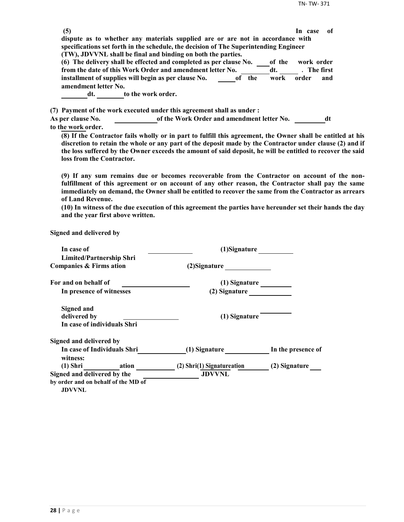| (5)                  |                                                                                                             | -of<br>In case |  |
|----------------------|-------------------------------------------------------------------------------------------------------------|----------------|--|
|                      | dispute as to whether any materials supplied are or are not in accordance with                              |                |  |
|                      | specifications set forth in the schedule, the decision of The Superintending Engineer                       |                |  |
|                      | (TW), JDVVNL shall be final and binding on both the parties.                                                |                |  |
|                      | (6) The delivery shall be effected and completed as per clause No.<br>of the                                | work order     |  |
|                      | from the date of this Work Order and amendment letter No.<br>dt.                                            | . The first    |  |
|                      | installment of supplies will begin as per clause No.<br>of the<br>work                                      | order<br>and   |  |
| amendment letter No. |                                                                                                             |                |  |
| dt.                  | to the work order.                                                                                          |                |  |
|                      |                                                                                                             |                |  |
|                      | (7) Payment of the work executed under this agreement shall as under :                                      |                |  |
| As per clause No.    | of the Work Order and amendment letter No.                                                                  | dt             |  |
| to the work order.   |                                                                                                             |                |  |
|                      | (8) If the Contractor fails wholly or in part to fulfill this agreement, the Owner shall be entitled at his |                |  |
|                      |                                                                                                             |                |  |

**discretion to retain the whole or any part of the deposit made by the Contractor under clause (2) and if the loss suffered by the Owner exceeds the amount of said deposit, he will be entitled to recover the said loss from the Contractor.**

**(9) If any sum remains due or becomes recoverable from the Contractor on account of the nonfulfillment of this agreement or on account of any other reason, the Contractor shall pay the same immediately on demand, the Owner shall be entitled to recover the same from the Contractor as arrears of Land Revenue.**

**(10) In witness of the due execution of this agreement the parties have hereunder set their hands the day and the year first above written.**

**Signed and delivered by**

| In case of                                           | (1)Signature               |                    |  |
|------------------------------------------------------|----------------------------|--------------------|--|
| <b>Limited/Partnership Shri</b>                      |                            |                    |  |
| Companies & Firms ation                              | (2) Signature              |                    |  |
| For and on behalf of                                 | (1) Signature              |                    |  |
| In presence of witnesses                             | (2) Signature              |                    |  |
| <b>Signed and</b>                                    |                            |                    |  |
| delivered by                                         | (1) Signature              |                    |  |
| In case of individuals Shri                          |                            |                    |  |
| Signed and delivered by                              |                            |                    |  |
| In case of Individuals Shri<br>witness:              | (1) Signature              | In the presence of |  |
| (1) Shri ation                                       | (2) Shri(1) Signatureation | (2) Signature      |  |
| Signed and delivered by the                          | <b>JDVVNL</b>              |                    |  |
| by order and on behalf of the MD of<br><b>JDVVNL</b> |                            |                    |  |
|                                                      |                            |                    |  |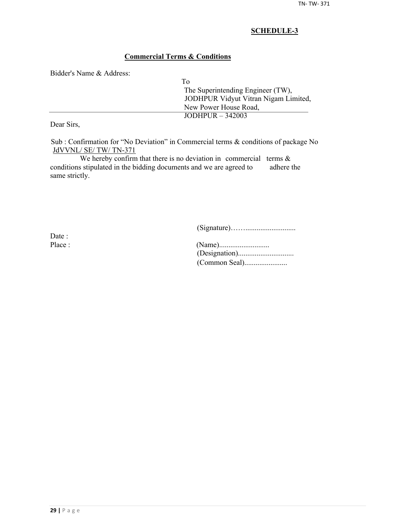## **Commercial Terms & Conditions**

Bidder's Name & Address:

| Tо                                   |
|--------------------------------------|
| The Superintending Engineer (TW),    |
| JODHPUR Vidyut Vitran Nigam Limited, |
| New Power House Road,                |
| $JODHPUR - 342003$                   |

Dear Sirs,

Sub : Confirmation for "No Deviation" in Commercial terms & conditions of package No JdVVNL/ SE/ TW/ TN-371

We hereby confirm that there is no deviation in commercial terms  $\&$ conditions stipulated in the bidding documents and we are agreed to adhere the same strictly.

(Signature)……...........................

Date :

| Place : |  |
|---------|--|
|         |  |
|         |  |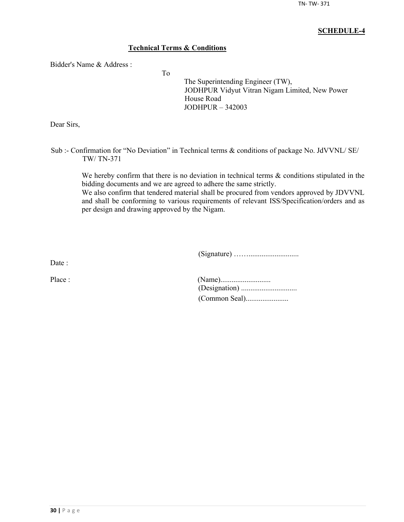## **Technical Terms & Conditions**

To

Bidder's Name & Address :

The Superintending Engineer (TW), JODHPUR Vidyut Vitran Nigam Limited, New Power House Road JODHPUR – 342003

Dear Sirs,

Sub :- Confirmation for "No Deviation" in Technical terms & conditions of package No. JdVVNL/ SE/ TW/ TN-371

We hereby confirm that there is no deviation in technical terms  $\&$  conditions stipulated in the bidding documents and we are agreed to adhere the same strictly.

We also confirm that tendered material shall be procured from vendors approved by JDVVNL and shall be conforming to various requirements of relevant ISS/Specification/orders and as per design and drawing approved by the Nigam.

(Signature) ……...........................

Date :

| Place : |  |
|---------|--|
|         |  |
|         |  |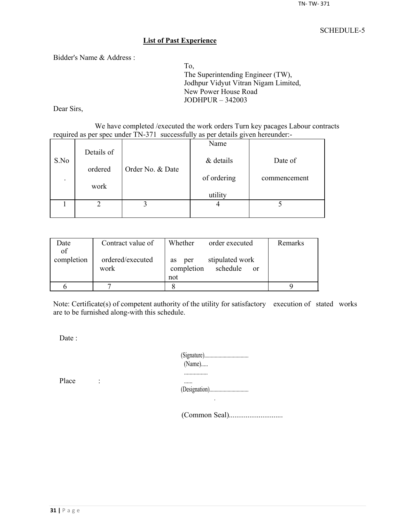#### **List of Past Experience**

Bidder's Name & Address :

To, The Superintending Engineer (TW), Jodhpur Vidyut Vitran Nigam Limited, New Power House Road JODHPUR – 342003

Dear Sirs,

We have completed /executed the work orders Turn key pacages Labour contracts required as per spec under TN-371 successfully as per details given hereunder:-

|                          |            |                  | Name        |              |
|--------------------------|------------|------------------|-------------|--------------|
| S.No                     | Details of |                  | & details   | Date of      |
|                          | ordered    | Order No. & Date |             |              |
| $\overline{\phantom{a}}$ |            |                  | of ordering | commencement |
|                          | work       |                  | utility     |              |
|                          |            |                  |             |              |
|                          |            |                  |             |              |
|                          |            |                  |             |              |

| Date       | Contract value of        | Whether<br>order executed                                     | Remarks |
|------------|--------------------------|---------------------------------------------------------------|---------|
| of         |                          |                                                               |         |
| completion | ordered/executed<br>work | stipulated work<br>per<br><b>as</b><br>completion<br>schedule |         |
|            |                          | <sub>or</sub><br>not                                          |         |
|            |                          |                                                               |         |
|            |                          |                                                               |         |

Note: Certificate(s) of competent authority of the utility for satisfactory execution of stated works are to be furnished along-with this schedule.

Date :

| $(Name)$ |
|----------|
|          |
|          |

Place :

(Common Seal).............................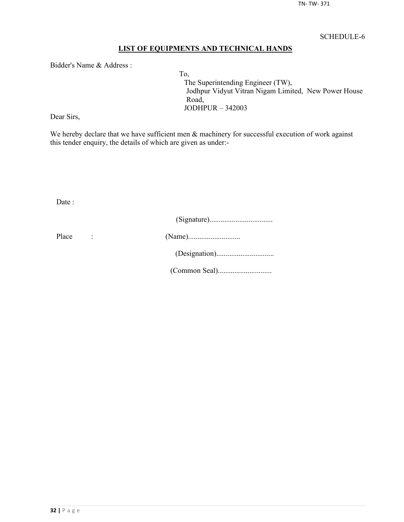## **LIST OF EQUIPMENTS AND TECHNICAL HANDS**

Bidder's Name & Address :

To, The Superintending Engineer (TW), Jodhpur Vidyut Vitran Nigam Limited, New Power House Road, JODHPUR – 342003

Dear Sirs,

We hereby declare that we have sufficient men  $\&$  machinery for successful execution of work against this tender enquiry, the details of which are given as under:-

Date :

| Place |  |
|-------|--|
|       |  |
|       |  |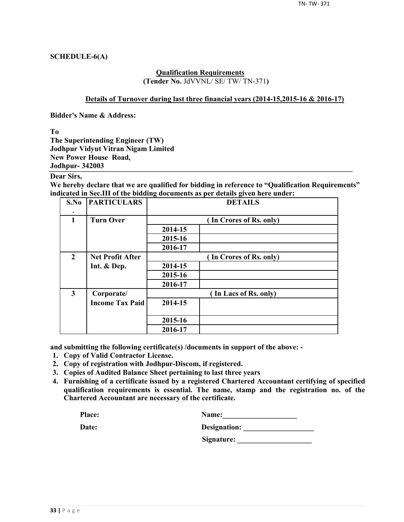## **SCHEDULE-6(A)**

#### **Qualification Requirements (Tender No.** JdVVNL/ SE/ TW/ TN-371**)**

#### **Details of Turnover during last three financial years (2014-15,2015-16 & 2016-17)**

**Bidder's Name & Address:**

**To**

**The Superintending Engineer (TW) Jodhpur Vidyut Vitran Nigam Limited New Power House Road, Jodhpur- 342003**

## **Dear Sirs,**

**We hereby declare that we are qualified for bidding in reference to "Qualification Requirements" indicated in Sec.III of the bidding documents as per details given here under:**

| S.No                    | <b>PARTICULARS</b>      | <b>DETAILS</b>          |                         |  |  |  |  |
|-------------------------|-------------------------|-------------------------|-------------------------|--|--|--|--|
| $\mathbf{1}$            | <b>Turn Over</b>        |                         | (In Crores of Rs. only) |  |  |  |  |
|                         |                         | 2014-15                 |                         |  |  |  |  |
|                         |                         | 2015-16                 |                         |  |  |  |  |
|                         |                         | 2016-17                 |                         |  |  |  |  |
| $\overline{2}$          | <b>Net Profit After</b> | (In Crores of Rs. only) |                         |  |  |  |  |
|                         | Int. & Dep.             | 2014-15                 |                         |  |  |  |  |
|                         |                         | 2015-16                 |                         |  |  |  |  |
|                         |                         | 2016-17                 |                         |  |  |  |  |
| $\overline{\mathbf{3}}$ | Corporate/              |                         | (In Lacs of Rs. only)   |  |  |  |  |
|                         | <b>Income Tax Paid</b>  | 2014-15                 |                         |  |  |  |  |
|                         |                         | 2015-16                 |                         |  |  |  |  |
|                         |                         | 2016-17                 |                         |  |  |  |  |

**and submitting the following certificate(s) /documents in support of the above: -**

- **1. Copy of Valid Contractor License.**
- **2. Copy of registration with Jodhpur-Discom, if registered.**
- **3. Copies of Audited Balance Sheet pertaining to last three years**
- **4. Furnishing of a certificate issued by a registered Chartered Accountant certifying of specified qualification requirements is essential. The name, stamp and the registration no. of the Chartered Accountant are necessary of the certificate.**

| Place: | <b>Name:</b> |
|--------|--------------|
|        |              |

| Date: | Designation: |
|-------|--------------|
|       |              |

**Signature: \_\_\_\_\_\_\_\_\_\_\_\_\_\_\_\_\_\_\_\_**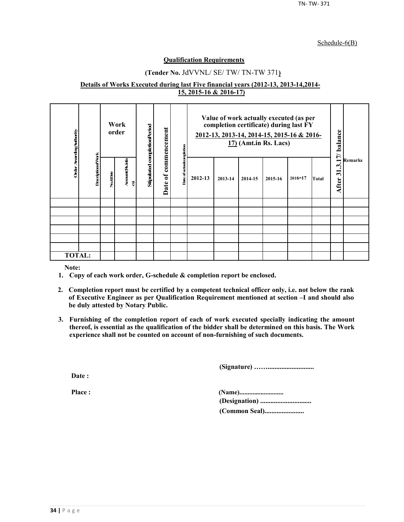#### Schedule-6(B)

#### **Qualification Requirements**

## **(Tender No.** JdVVNL/ SE/ TW/ TN-TW 371**)**

#### **Details of Works Executed during last Five financial years (2012-13, 2013-14,2014- 15, 2015-16 & 2016-17)**

| Order Awarding Authority |                          |          | Work<br>order       | Stipulated completionPeriod | commencement           | ompletion     | Value of work actually executed (as per<br>completion certificate) during last FY<br>2012-13, 2013-14, 2014-15, 2015-16 & 2016-<br>$17)$ (Amt.in Rs. Lacs) |         |         | 17/ balance |             |       |                                                           |                |
|--------------------------|--------------------------|----------|---------------------|-----------------------------|------------------------|---------------|------------------------------------------------------------------------------------------------------------------------------------------------------------|---------|---------|-------------|-------------|-------|-----------------------------------------------------------|----------------|
|                          | <b>DescriptionofVork</b> | No.&Date | Amount(Rsinla<br>อิ |                             | $\mathfrak{b}$<br>Date | Date of actua | 2012-13                                                                                                                                                    | 2013-14 | 2014-15 | 2015-16     | $2016 - 17$ | Total | $\boldsymbol{\cdot}$<br>$\overline{\mathbf{5}}$<br>After: | <b>Remarks</b> |
|                          |                          |          |                     |                             |                        |               |                                                                                                                                                            |         |         |             |             |       |                                                           |                |
|                          |                          |          |                     |                             |                        |               |                                                                                                                                                            |         |         |             |             |       |                                                           |                |
|                          |                          |          |                     |                             |                        |               |                                                                                                                                                            |         |         |             |             |       |                                                           |                |
|                          |                          |          |                     |                             |                        |               |                                                                                                                                                            |         |         |             |             |       |                                                           |                |
|                          |                          |          |                     |                             |                        |               |                                                                                                                                                            |         |         |             |             |       |                                                           |                |
|                          |                          |          |                     |                             |                        |               |                                                                                                                                                            |         |         |             |             |       |                                                           |                |
| <b>TOTAL:</b>            |                          |          |                     |                             |                        |               |                                                                                                                                                            |         |         |             |             |       |                                                           |                |

**Note:**

- **1. Copy of each work order, G-schedule & completion report be enclosed.**
- **2. Completion report must be certified by a competent technical officer only, i.e. not below the rank of Executive Engineer as per Qualification Requirement mentioned at section –I and should also be duly attested by Notary Public.**
- **3. Furnishing of the completion report of each of work executed specially indicating the amount thereof, is essential as the qualification of the bidder shall be determined on this basis. The Work experience shall not be counted on account of non-furnishing of such documents.**

**(Signature) ……...........................**

**Date :**

**Place : (Name)........................... (Designation) .............................. (Common Seal).......................**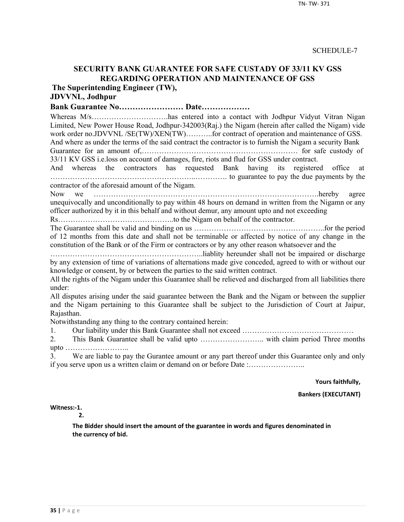## **SECURITY BANK GUARANTEE FOR SAFE CUSTADY OF 33/11 KV GSS REGARDING OPERATION AND MAINTENANCE OF GSS**

**The Superintending Engineer (TW),**

# **JDVVNL, Jodhpur**

**Bank Guarantee No…………………… Date………………**

Whereas M/s…………………………has entered into a contact with Jodhpur Vidyut Vitran Nigan Limited, New Power House Road, Jodhpur-342003(Raj.) the Nigam (herein after called the Nigam) vide work order no.JDVVNL /SE(TW)/XEN(TW)..........for contract of operation and maintenance of GSS. And where as under the terms of the said contract the contractor is to furnish the Nigam a security Bank

Guarantee for an amount of,……………………………………………………… for safe custody of 33/11 KV GSS i.e.loss on account of damages, fire, riots and flud for GSS under contract.

And whereas the contractors has requested Bank having its registered office at …………………………………………………..…………. to guarantee to pay the due payments by the contractor of the aforesaid amount of the Nigam.

Now we ……………………………………………………………………………….hereby agree unequivocally and unconditionally to pay within 48 hours on demand in written from the Nigamn or any officer authorized by it in this behalf and without demur, any amount upto and not exceeding

Rs………………………………………..to the Nigam on behalf of the contractor.

The Guarantee shall be valid and binding on us ……………………………………………..for the period of 12 months from this date and shall not be terminable or affected by notice of any change in the constitution of the Bank or of the Firm or contractors or by any other reason whatsoever and the

……………………………………………………..liablity hereunder shall not be impaired or discharge by any extension of time of variations of alternations made give conceded, agreed to with or without our knowledge or consent, by or between the parties to the said written contract.

All the rights of the Nigam under this Guarantee shall be relieved and discharged from all liabilities there under:

All disputes arising under the said guarantee between the Bank and the Nigam or between the supplier and the Nigam pertaining to this Guarantee shall be subject to the Jurisdiction of Court at Jaipur, Rajasthan.

Notwithstanding any thing to the contrary contained herein:

1. Our liability under this Bank Guarantee shall not exceed ………………………………………

2. This Bank Guarantee shall be valid upto …………………….. with claim period Three months upto ……………………..

3. We are liable to pay the Gurantee amount or any part thereof under this Guarantee only and only if you serve upon us a written claim or demand on or before Date :…………………..

**Yours faithfully,**

**Bankers (EXECUTANT)**

**Witness:-1.** 

**2.**

**The Bidder should insert the amount of the guarantee in words and figures denominated in the currency of bid.**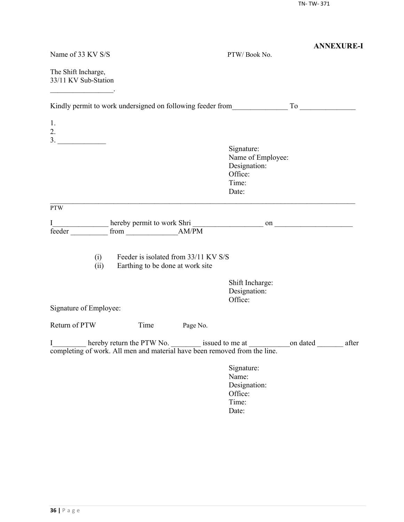| Name of 33 KV S/S                           |                                                                          |          | PTW/Book No.                                                                 | <b>ANNEXURE-I</b>                                                                                                                                                         |
|---------------------------------------------|--------------------------------------------------------------------------|----------|------------------------------------------------------------------------------|---------------------------------------------------------------------------------------------------------------------------------------------------------------------------|
| The Shift Incharge,<br>33/11 KV Sub-Station |                                                                          |          |                                                                              |                                                                                                                                                                           |
|                                             |                                                                          |          |                                                                              |                                                                                                                                                                           |
| 1.<br>2.                                    |                                                                          |          |                                                                              |                                                                                                                                                                           |
|                                             |                                                                          |          | Signature:<br>Name of Employee:<br>Designation:<br>Office:<br>Time:<br>Date: |                                                                                                                                                                           |
| <b>PTW</b>                                  |                                                                          |          |                                                                              |                                                                                                                                                                           |
| I<br>feeder                                 |                                                                          |          |                                                                              |                                                                                                                                                                           |
| (i)<br>(ii)                                 | Feeder is isolated from 33/11 KV S/S<br>Earthing to be done at work site |          |                                                                              |                                                                                                                                                                           |
|                                             |                                                                          |          | Shift Incharge:<br>Designation:<br>Office:                                   |                                                                                                                                                                           |
| Signature of Employee:                      |                                                                          |          |                                                                              |                                                                                                                                                                           |
| Return of PTW                               | Time                                                                     | Page No. |                                                                              |                                                                                                                                                                           |
|                                             |                                                                          |          |                                                                              | I________ hereby return the PTW No. ________ issued to me at _________ on dated _________ after completing of work. All men and material have been removed from the line. |
|                                             |                                                                          |          | Signature:<br>Name:<br>Designation:<br>Office:<br>Time:<br>Date:             |                                                                                                                                                                           |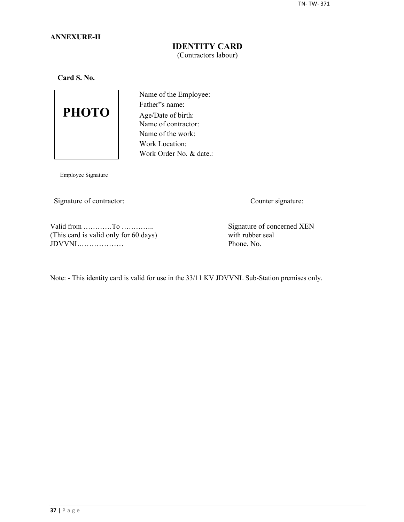## **ANNEXURE-II**

## **IDENTITY CARD** (Contractors labour)

**Card S. No.**



Name of the Employee: Father"s name: Age/Date of birth: Name of contractor: Name of the work: Work Location: Work Order No. & date.:

Employee Signature

Signature of contractor: Counter signature:

Valid from …………To …………..<br>
This card is valid only for 60 days) Signature of concerned XEN<br>
with rubber seal (This card is valid only for 60 days) with rubber seal  $JDVVNL$ 

Note: - This identity card is valid for use in the 33/11 KV JDVVNL Sub-Station premises only.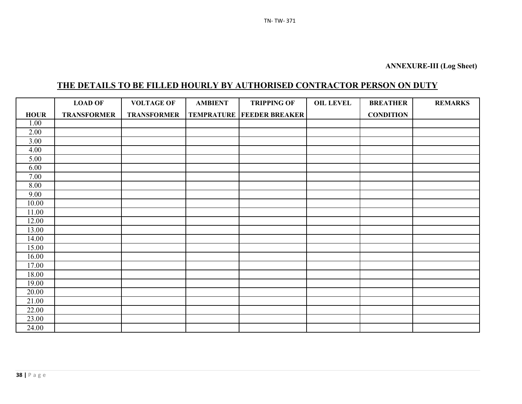# **THE DETAILS TO BE FILLED HOURLY BY AUTHORISED CONTRACTOR PERSON ON DUTY**

|             | <b>LOAD OF</b>     | <b>VOLTAGE OF</b>  | <b>AMBIENT</b> | <b>TRIPPING OF</b>                   | <b>OIL LEVEL</b> | <b>BREATHER</b>  | <b>REMARKS</b> |
|-------------|--------------------|--------------------|----------------|--------------------------------------|------------------|------------------|----------------|
| <b>HOUR</b> | <b>TRANSFORMER</b> | <b>TRANSFORMER</b> |                | <b>TEMPRATURE   FEEDER BREAKER  </b> |                  | <b>CONDITION</b> |                |
| 1.00        |                    |                    |                |                                      |                  |                  |                |
| 2.00        |                    |                    |                |                                      |                  |                  |                |
| 3.00        |                    |                    |                |                                      |                  |                  |                |
| 4.00        |                    |                    |                |                                      |                  |                  |                |
| 5.00        |                    |                    |                |                                      |                  |                  |                |
| 6.00        |                    |                    |                |                                      |                  |                  |                |
| 7.00        |                    |                    |                |                                      |                  |                  |                |
| 8.00        |                    |                    |                |                                      |                  |                  |                |
| 9.00        |                    |                    |                |                                      |                  |                  |                |
| 10.00       |                    |                    |                |                                      |                  |                  |                |
| 11.00       |                    |                    |                |                                      |                  |                  |                |
| 12.00       |                    |                    |                |                                      |                  |                  |                |
| 13.00       |                    |                    |                |                                      |                  |                  |                |
| 14.00       |                    |                    |                |                                      |                  |                  |                |
| 15.00       |                    |                    |                |                                      |                  |                  |                |
| 16.00       |                    |                    |                |                                      |                  |                  |                |
| 17.00       |                    |                    |                |                                      |                  |                  |                |
| 18.00       |                    |                    |                |                                      |                  |                  |                |
| 19.00       |                    |                    |                |                                      |                  |                  |                |
| 20.00       |                    |                    |                |                                      |                  |                  |                |
| 21.00       |                    |                    |                |                                      |                  |                  |                |
| 22.00       |                    |                    |                |                                      |                  |                  |                |
| 23.00       |                    |                    |                |                                      |                  |                  |                |
| 24.00       |                    |                    |                |                                      |                  |                  |                |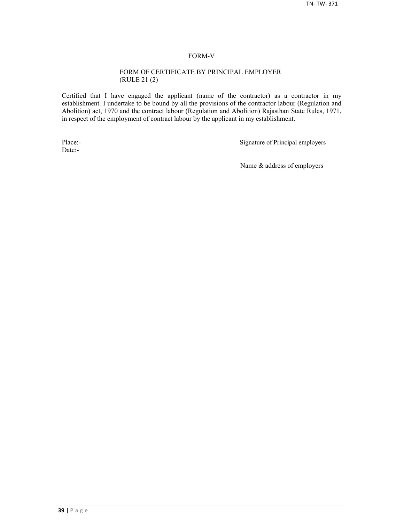#### FORM-V

#### FORM OF CERTIFICATE BY PRINCIPAL EMPLOYER (RULE 21 (2)

Certified that I have engaged the applicant (name of the contractor) as a contractor in my establishment. I undertake to be bound by all the provisions of the contractor labour (Regulation and Abolition) act, 1970 and the contract labour (Regulation and Abolition) Rajasthan State Rules, 1971, in respect of the employment of contract labour by the applicant in my establishment.

Date:-

Place:-<br>
Signature of Principal employers

Name & address of employers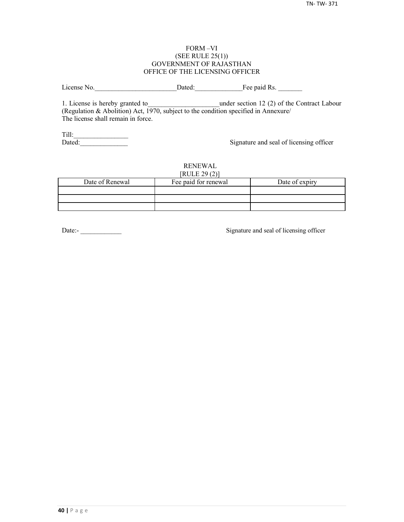#### FORM –VI (SEE RULE 25(1)) GOVERNMENT OF RAJASTHAN OFFICE OF THE LICENSING OFFICER

License No. 2012 Dated: The paid Rs.

1. License is hereby granted to **the under section 12 (2) of the Contract Labour** (Regulation & Abolition) Act, 1970, subject to the condition specified in Annexure/ The license shall remain in force.

Till:\_\_\_\_\_\_\_\_\_\_\_\_\_\_\_\_

Signature and seal of licensing officer

#### RENEWAL  $[PHH]$   $[20(2)]$

| NULEZ9(2)       |                      |                |  |  |  |  |  |
|-----------------|----------------------|----------------|--|--|--|--|--|
| Date of Renewal | Fee paid for renewal | Date of expiry |  |  |  |  |  |
|                 |                      |                |  |  |  |  |  |
|                 |                      |                |  |  |  |  |  |
|                 |                      |                |  |  |  |  |  |

Date:-<br>
Signature and seal of licensing officer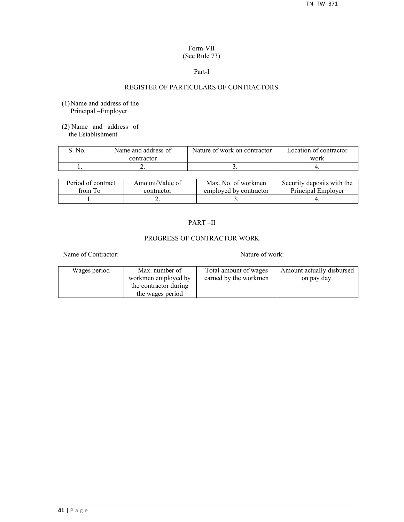## Form-VII (See Rule 73)

#### Part-I

## REGISTER OF PARTICULARS OF CONTRACTORS

- (1)Name and address of the Principal –Employer
- (2) Name and address of the Establishment

| No. | Name and address of | Nature of work on contractor | Location of contractor |  |
|-----|---------------------|------------------------------|------------------------|--|
|     | contractor          |                              | work                   |  |
|     | <u>.</u>            |                              |                        |  |

| Period of contract | Amount/Value of | Max. No. of workmen    | Security deposits with the |
|--------------------|-----------------|------------------------|----------------------------|
| from To            | contractor      | employed by contractor | Principal Employer         |
|                    | ∸               |                        |                            |

## PART –II

## PROGRESS OF CONTRACTOR WORK

Name of Contractor: Nature of work:

| Wages period | Max. number of        | Total amount of wages | Amount actually disbursed |
|--------------|-----------------------|-----------------------|---------------------------|
|              | workmen employed by   | earned by the workmen | on pay day.               |
|              | the contractor during |                       |                           |
|              | the wages period      |                       |                           |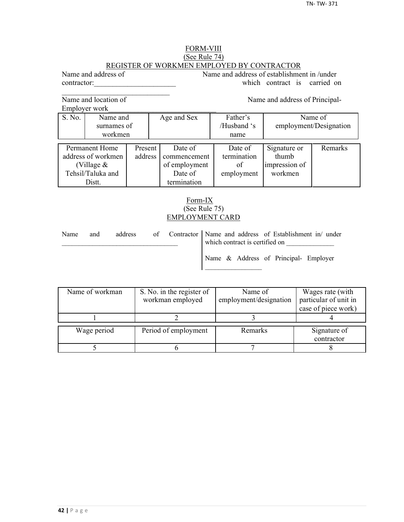## FORM-VIII (See Rule 74) REGISTER OF WORKMEN EMPLOYED BY CONTRACTOR

Name and address of Name and address of establishment in /under contractor: which contract is carried on

Name and location of Name and address of Principal-

 $\mathcal{L}_\text{max}$ 

Employer work\_\_\_\_\_\_\_\_\_\_\_\_\_\_\_\_\_\_\_\_\_\_\_\_\_\_\_\_\_

|                    | EIIIDIOVU WOIK |         |               |             |                        |         |
|--------------------|----------------|---------|---------------|-------------|------------------------|---------|
| S. No.             | Name and       |         | Age and Sex   | Father's    | Name of                |         |
|                    | surnames of    |         |               | /Husband 's | employment/Designation |         |
|                    | workmen        |         |               | name        |                        |         |
|                    |                |         |               |             |                        |         |
| Permanent Home     |                | Present | Date of       | Date of     | Signature or           | Remarks |
| address of workmen |                | address | commencement  | termination | thumb                  |         |
| (Village $&$       |                |         | of employment | of          | impression of          |         |
| Tehsil/Taluka and  |                |         | Date of       | employment  | workmen                |         |
| Distt.             |                |         | termination   |             |                        |         |

## Form-IX (See Rule 75) EMPLOYMENT CARD

| Name | and | address |  | of Contractor   Name and address of Establishment in/ under<br>which contract is certified on |
|------|-----|---------|--|-----------------------------------------------------------------------------------------------|
|      |     |         |  | Name & Address of Principal- Employer                                                         |

| Name of workman | S. No. in the register of | Name of                | Wages rate (with      |
|-----------------|---------------------------|------------------------|-----------------------|
|                 | workman employed          | employment/designation | particular of unit in |
|                 |                           |                        | case of piece work)   |
|                 |                           |                        |                       |
| Wage period     | Period of employment      | Remarks                | Signature of          |
|                 |                           |                        |                       |
|                 |                           |                        | contractor            |
|                 |                           |                        |                       |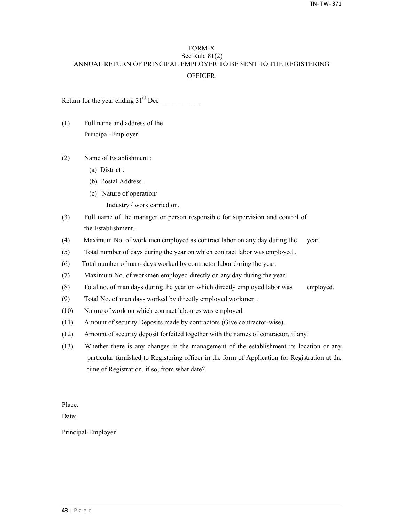## FORM-X See Rule 81(2) ANNUAL RETURN OF PRINCIPAL EMPLOYER TO BE SENT TO THE REGISTERING **OFFICER**

Return for the year ending  $31<sup>st</sup>$  Dec

- (1) Full name and address of the Principal-Employer.
- (2) Name of Establishment :
	- (a) District :
	- (b) Postal Address.
	- (c) Nature of operation/
		- Industry / work carried on.
- (3) Full name of the manager or person responsible for supervision and control of the Establishment.
- (4) Maximum No. of work men employed as contract labor on any day during the year.
- (5) Total number of days during the year on which contract labor was employed .
- (6) Total number of man- days worked by contractor labor during the year.
- (7) Maximum No. of workmen employed directly on any day during the year.
- (8) Total no. of man days during the year on which directly employed labor was employed.
- (9) Total No. of man days worked by directly employed workmen .
- (10) Nature of work on which contract laboures was employed.
- (11) Amount of security Deposits made by contractors (Give contractor-wise).
- (12) Amount of security deposit forfeited together with the names of contractor, if any.
- (13) Whether there is any changes in the management of the establishment its location or any particular furnished to Registering officer in the form of Application for Registration at the time of Registration, if so, from what date?

Place:

Date:

Principal-Employer